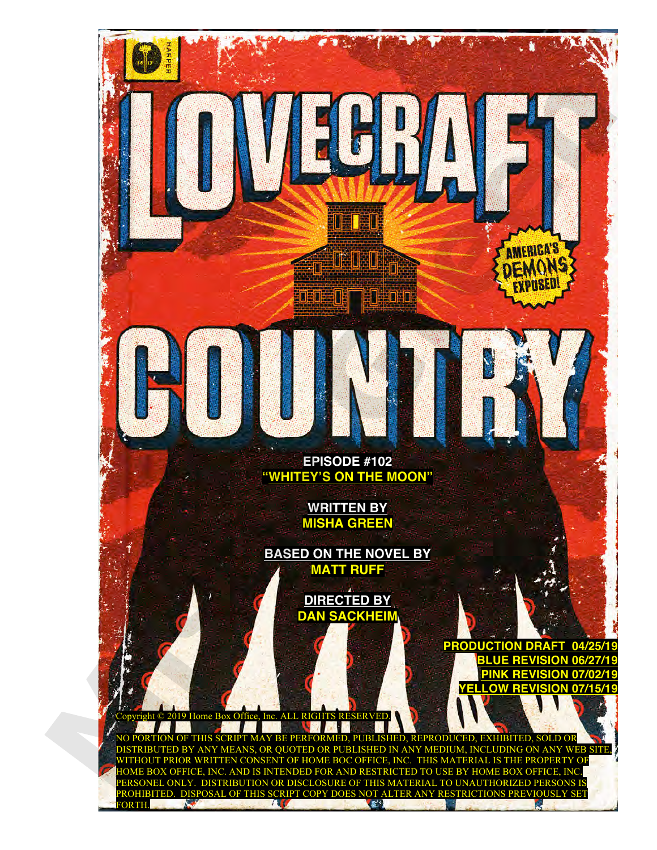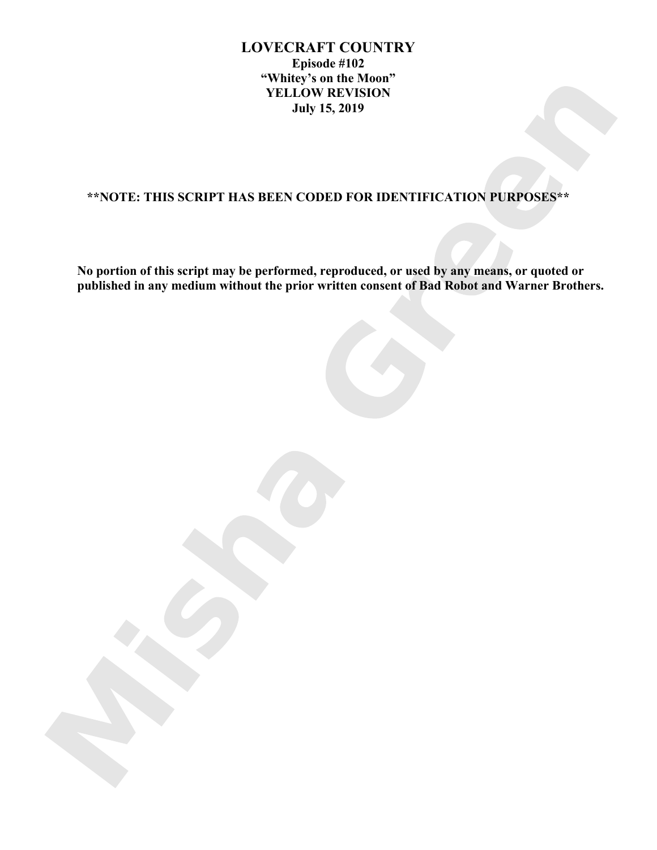# **LOVECRAFT COUNTRY Episode #102 "Whitey's on the Moon" YELLOW REVISION July 15, 2019**

# **\*\*NOTE: THIS SCRIPT HAS BEEN CODED FOR IDENTIFICATION PURPOSES\*\***

**No portion of this script may be performed, reproduced, or used by any means, or quoted or published in any medium without the prior written consent of Bad Robot and Warner Brothers.**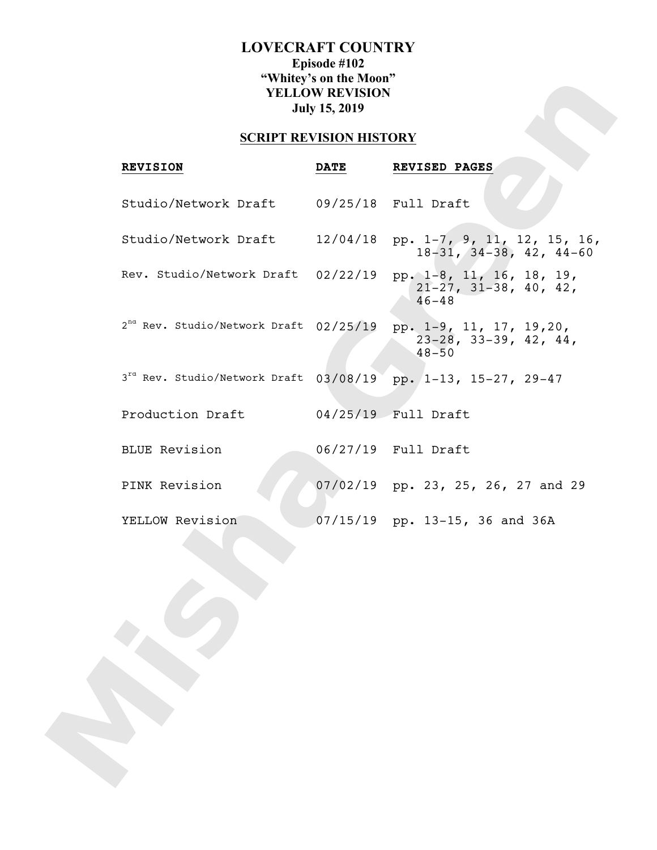# **LOVECRAFT COUNTRY Episode #102 "Whitey's on the Moon" YELLOW REVISION July 15, 2019**

# **SCRIPT REVISION HISTORY**

| <b>REVISION</b>                               | <b>DATE</b> | REVISED PAGES                                                             |
|-----------------------------------------------|-------------|---------------------------------------------------------------------------|
| Studio/Network Draft 09/25/18 Full Draft      |             |                                                                           |
| Studio/Network Draft                          | 12/04/18    | pp. 1-7, 9, 11, 12, 15, 16,<br>$18-31, 34-38, 42, 44-60$                  |
| Rev. Studio/Network Draft 02/22/19            |             | pp. 1-8, 11, 16, 18, 19,<br>$21-27, 31-38, 40, 42,$<br>$46 - 48$          |
| $2^{nd}$ Rev. Studio/Network Draft $02/25/19$ |             | pp. 1-9, 11, 17, 19,20,<br>$23-28$ , $33-39$ , $42$ , $44$ ,<br>$48 - 50$ |
| $3^{ra}$ Rev. Studio/Network Draft $03/08/19$ |             | pp. 1-13, 15-27, 29-47                                                    |
| Production Draft                              |             | 04/25/19    Full Draft                                                    |
| <b>BLUE Revision</b>                          |             | 06/27/19  Full Draft                                                      |
| PINK Revision                                 |             | 07/02/19 pp. 23, 25, 26, 27 and 29                                        |
| YELLOW Revision                               |             | $07/15/19$ pp. 13-15, 36 and 36A                                          |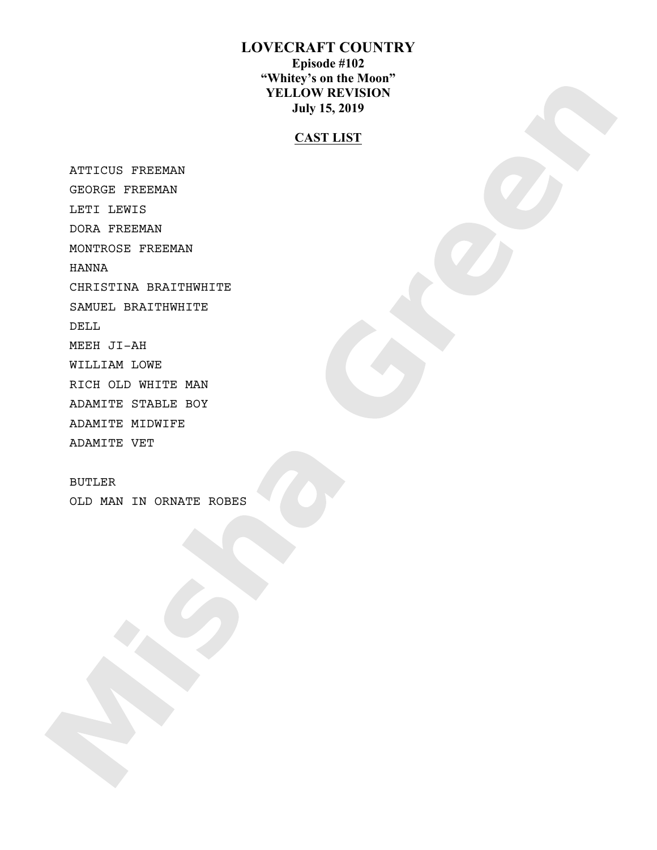# **LOVECRAFT COUNTRY Episode #102 "Whitey's on the Moon" YELLOW REVISION July 15, 2019**

# **CAST LIST**

 ATTICUS FREEMAN GEORGE FREEMAN LETI LEWIS DORA FREEMAN MONTROSE FREEMAN HANNA CHRISTINA BRAITHWHITE SAMUEL BRAITHWHITE DELL MEEH JI-AH WILLIAM LOWE RICH OLD WHITE MAN ADAMITE STABLE BOY ADAMITE MIDWIFE ADAMITE VET

 BUTLER OLD MAN IN ORNATE ROBES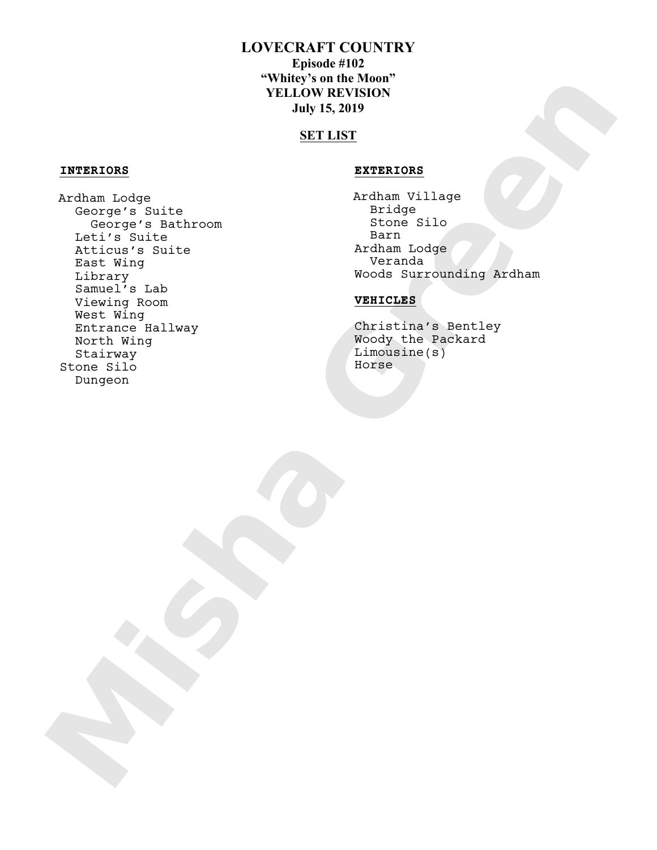# **LOVECRAFT COUNTRY**

**Episode #102 "Whitey's on the Moon" YELLOW REVISION July 15, 2019** 

# **SET LIST**

## **INTERIORS EXTERIORS**

 Ardham Lodge George's Suite George's Bathroom Leti's Suite Atticus's Suite East Wing Library Samuel's Lab Viewing Room West Wing Entrance Hallway North Wing Stairway Stone Silo Dungeon

 Ardham Village Bridge Stone Silo Barn Ardham Lodge Veranda Woods Surrounding Ardham

## **VEHICLES**

 Christina's Bentley Woody the Packard Limousine(s) Horse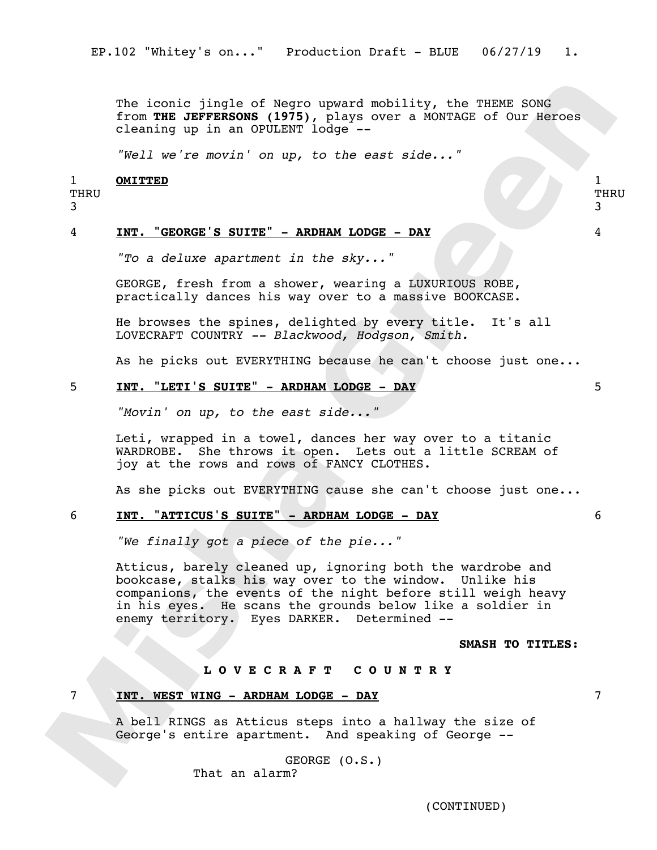The iconic jingle of Negro upward mobility, the THEME SONG from **THE JEFFERSONS (1975)**, plays over a MONTAGE of Our Heroes cleaning up in an OPULENT lodge --

*"Well we're movin' on up, to the east side..."*

#### 1 **OMITTED** 1

# THRU

3

THRU 3

## 4 **INT. "GEORGE'S SUITE" - ARDHAM LODGE - DAY** 4

*"To a deluxe apartment in the sky..."*

GEORGE, fresh from a shower, wearing a LUXURIOUS ROBE, practically dances his way over to a massive BOOKCASE.

He browses the spines, delighted by every title. It's all LOVECRAFT COUNTRY *-- Blackwood, Hodgson, Smith.*

As he picks out EVERYTHING because he can't choose just one...

## 5 **INT. "LETI'S SUITE" - ARDHAM LODGE - DAY** 5

*"Movin' on up, to the east side..."*

Leti, wrapped in a towel, dances her way over to a titanic WARDROBE. She throws it open. Lets out a little SCREAM of joy at the rows and rows of FANCY CLOTHES.

As she picks out EVERYTHING cause she can't choose just one...

## 6 **INT. "ATTICUS'S SUITE" - ARDHAM LODGE - DAY** 6

*"We finally got a piece of the pie..."*

Atticus, barely cleaned up, ignoring both the wardrobe and bookcase, stalks his way over to the window. Unlike his companions, the events of the night before still weigh heavy in his eyes. He scans the grounds below like a soldier in enemy territory. Eyes DARKER. Determined --

## **SMASH TO TITLES:**

## **L O V E C R A F T C O U N T R Y**

## 7 **INT. WEST WING - ARDHAM LODGE - DAY** 7

A bell RINGS as Atticus steps into a hallway the size of George's entire apartment. And speaking of George --

> GEORGE (O.S.) That an alarm?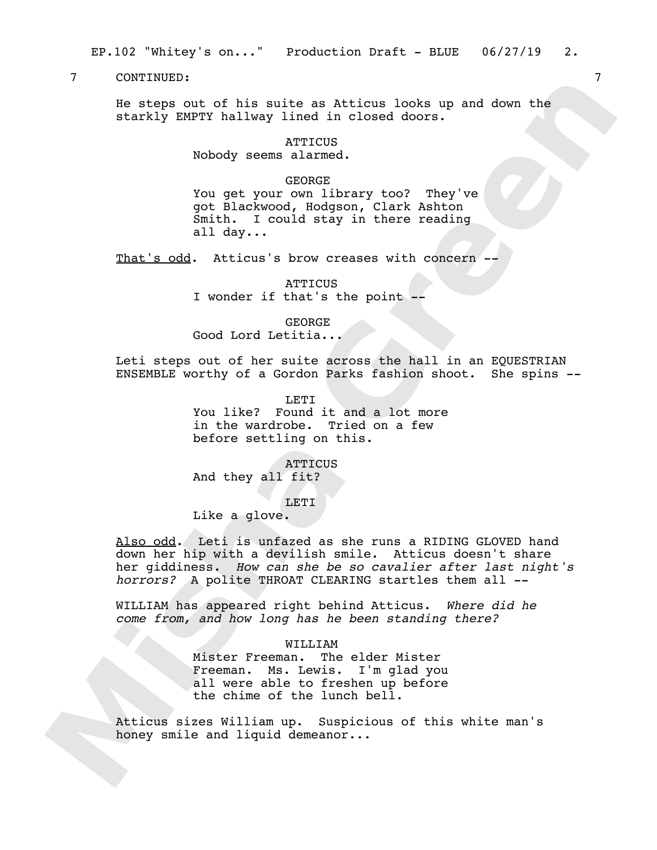He steps out of his suite as Atticus looks up and down the starkly EMPTY hallway lined in closed doors.

> **ATTICUS** Nobody seems alarmed.

> > GEORGE

You get your own library too? They've got Blackwood, Hodgson, Clark Ashton Smith. I could stay in there reading all day...

That's odd. Atticus's brow creases with concern -

**ATTICUS** I wonder if that's the point --

GEORGE Good Lord Letitia...

Leti steps out of her suite across the hall in an EQUESTRIAN ENSEMBLE worthy of a Gordon Parks fashion shoot. She spins --

> LETI You like? Found it and a lot more in the wardrobe. Tried on a few before settling on this.

ATTICUS And they all fit?

LETI

Like a glove.

Also odd. Leti is unfazed as she runs a RIDING GLOVED hand down her hip with a devilish smile. Atticus doesn't share her giddiness. *How can she be so cavalier after last night's horrors?* A polite THROAT CLEARING startles them all --

WILLIAM has appeared right behind Atticus. *Where did he come from, and how long has he been standing there?*

WILLIAM

Mister Freeman. The elder Mister Freeman. Ms. Lewis. I'm glad you all were able to freshen up before the chime of the lunch bell.

Atticus sizes William up. Suspicious of this white man's honey smile and liquid demeanor...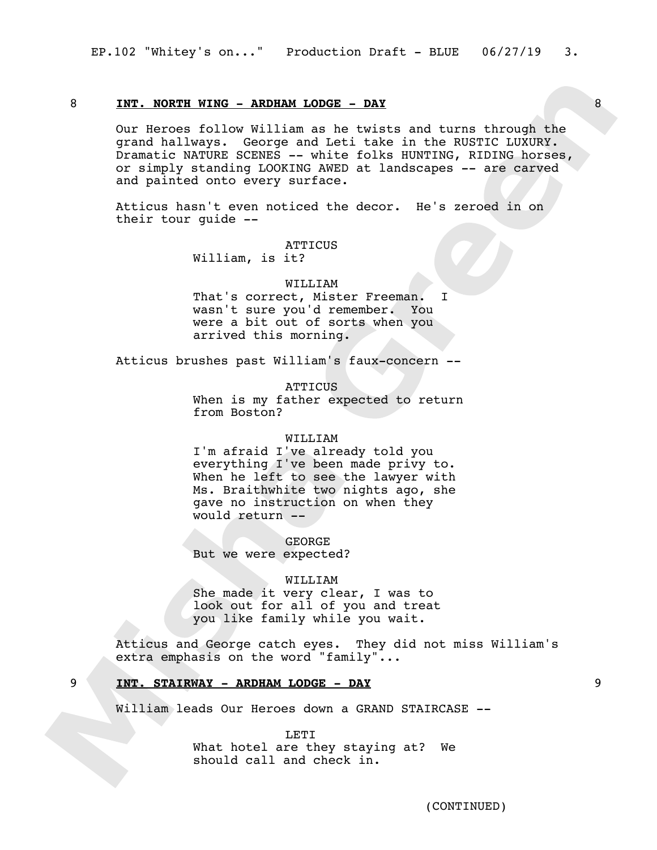## 8 **INT. NORTH WING - ARDHAM LODGE - DAY** 8

Our Heroes follow William as he twists and turns through the grand hallways. George and Leti take in the RUSTIC LUXURY. Dramatic NATURE SCENES -- white folks HUNTING, RIDING horses, or simply standing LOOKING AWED at landscapes -- are carved and painted onto every surface.

Atticus hasn't even noticed the decor. He's zeroed in on their tour guide --

ATTICUS

William, is it?

#### WILLIAM

That's correct, Mister Freeman. I wasn't sure you'd remember. You were a bit out of sorts when you arrived this morning.

Atticus brushes past William's faux-concern --

#### **ATTICUS**

When is my father expected to return from Boston?

#### WILLIAM

I'm afraid I've already told you everything I've been made privy to. When he left to see the lawyer with Ms. Braithwhite two nights ago, she gave no instruction on when they would return --

GEORGE But we were expected?

#### WILLIAM

She made it very clear, I was to look out for all of you and treat you like family while you wait.

Atticus and George catch eyes. They did not miss William's extra emphasis on the word "family"...

## 9 **INT. STAIRWAY - ARDHAM LODGE - DAY** 9

William leads Our Heroes down a GRAND STAIRCASE --

**LETT** What hotel are they staying at? We should call and check in.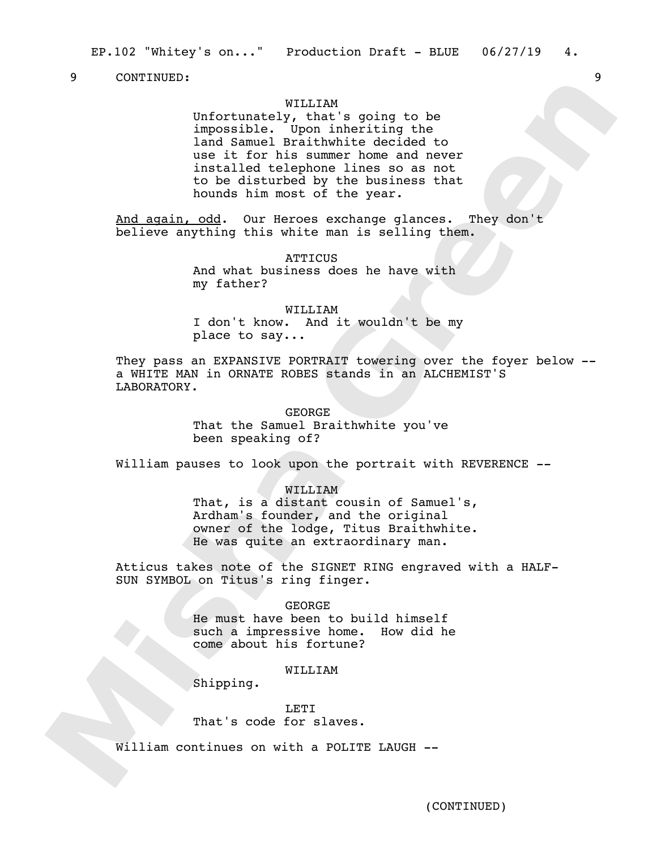## WILLITAM

Unfortunately, that's going to be impossible. Upon inheriting the land Samuel Braithwhite decided to use it for his summer home and never installed telephone lines so as not to be disturbed by the business that hounds him most of the year.

And again, odd. Our Heroes exchange glances. They don't believe anything this white man is selling them.

> **ATTICUS** And what business does he have with my father?

#### WILLIJAM

I don't know. And it wouldn't be my place to say...

They pass an EXPANSIVE PORTRAIT towering over the foyer below - a WHITE MAN in ORNATE ROBES stands in an ALCHEMIST'S LABORATORY.

#### GEORGE

That the Samuel Braithwhite you've been speaking of?

William pauses to look upon the portrait with REVERENCE --

## WILLIAM

That, is a distant cousin of Samuel's, Ardham's founder, and the original owner of the lodge, Titus Braithwhite. He was quite an extraordinary man.

Atticus takes note of the SIGNET RING engraved with a HALF-SUN SYMBOL on Titus's ring finger.

#### GEORGE

He must have been to build himself such a impressive home. How did he come about his fortune?

## WILLIAM

Shipping.

## LETI

That's code for slaves.

William continues on with a POLITE LAUGH --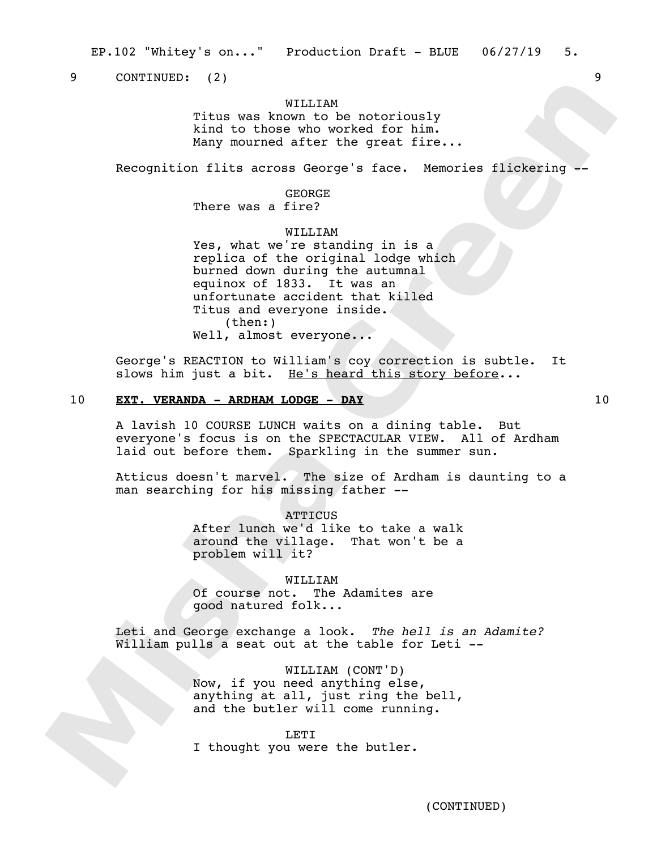EP.102 "Whitey's on..." Production Draft - BLUE 06/27/19 5.

9 CONTINUED: (2) 9

## WILLITAM

Titus was known to be notoriously kind to those who worked for him. Many mourned after the great fire...

Recognition flits across George's face. Memories flickering -

# GEORGE

There was a fire?

## WILLIAM

Yes, what we're standing in is a replica of the original lodge which burned down during the autumnal equinox of 1833. It was an unfortunate accident that killed Titus and everyone inside. (then:) Well, almost everyone...

George's REACTION to William's coy correction is subtle. It slows him just a bit. He's heard this story before...

## 10 **EXT. VERANDA - ARDHAM LODGE - DAY** 10

A lavish 10 COURSE LUNCH waits on a dining table. But everyone's focus is on the SPECTACULAR VIEW. All of Ardham laid out before them. Sparkling in the summer sun.

Atticus doesn't marvel. The size of Ardham is daunting to a man searching for his missing father --

> **ATTICUS** After lunch we'd like to take a walk around the village. That won't be a problem will it?

WILLIAM Of course not. The Adamites are good natured folk...

Leti and George exchange a look. *The hell is an Adamite?*  William pulls a seat out at the table for Leti --

> WILLIAM (CONT'D) Now, if you need anything else, anything at all, just ring the bell, and the butler will come running.

> > **LETT**

I thought you were the butler.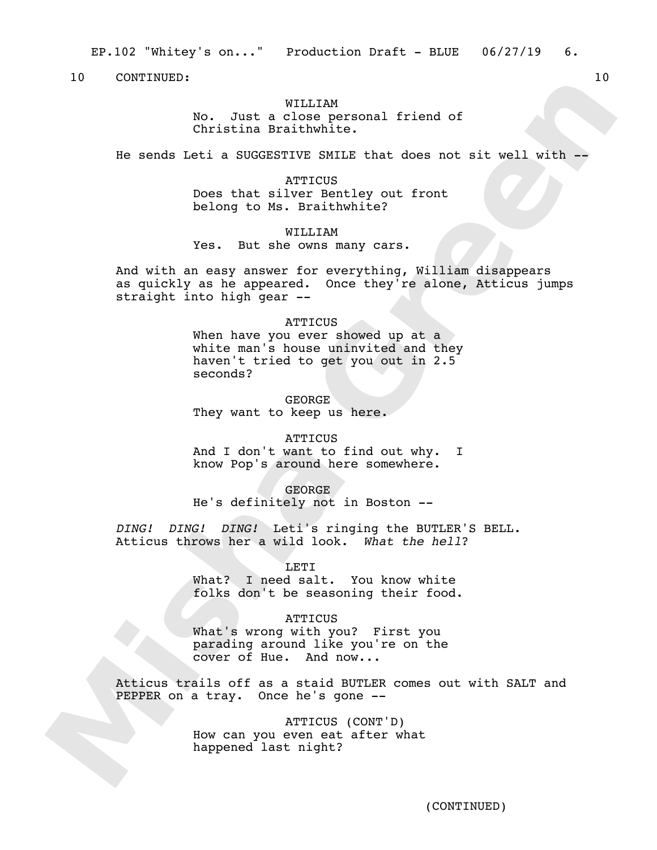EP.102 "Whitey's on..." Production Draft - BLUE 06/27/19 6.

10 CONTINUED: 10

## WILLITAM

No. Just a close personal friend of Christina Braithwhite.

He sends Leti a SUGGESTIVE SMILE that does not sit well with --

ATTICUS Does that silver Bentley out front belong to Ms. Braithwhite?

WILLIAM Yes. But she owns many cars.

And with an easy answer for everything, William disappears as quickly as he appeared. Once they're alone, Atticus jumps straight into high gear --

#### **ATTICUS**

When have you ever showed up at a white man's house uninvited and they haven't tried to get you out in 2.5 seconds?

GEORGE They want to keep us here.

#### **ATTICUS**

And I don't want to find out why. I know Pop's around here somewhere.

### GEORGE

He's definitely not in Boston --

*DING! DING! DING!* Leti's ringing the BUTLER'S BELL. Atticus throws her a wild look. *What the hell*?

### LETI

What? I need salt. You know white folks don't be seasoning their food.

## **ATTICUS**

What's wrong with you? First you parading around like you're on the cover of Hue. And now...

Atticus trails off as a staid BUTLER comes out with SALT and PEPPER on a tray. Once he's gone --

> ATTICUS (CONT'D) How can you even eat after what happened last night?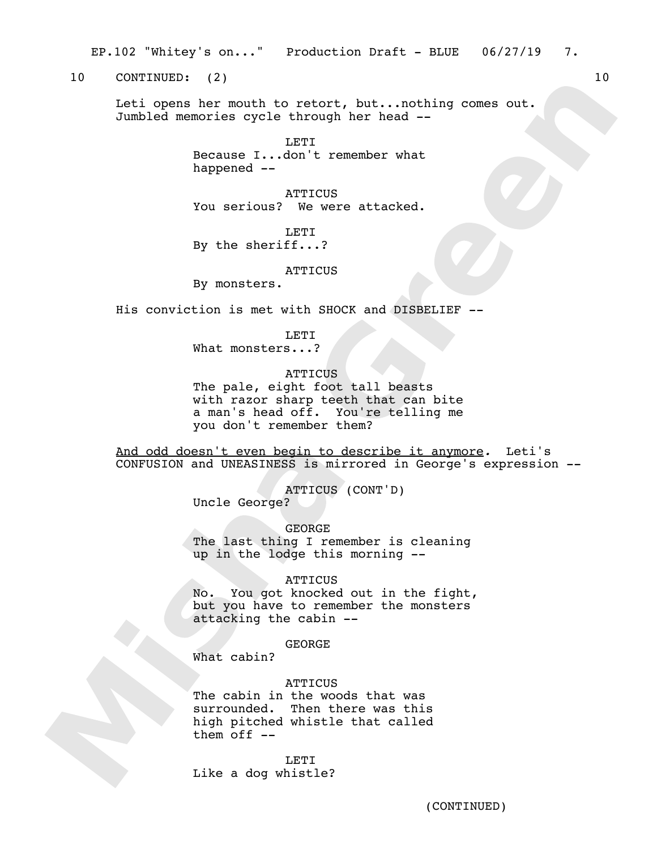EP.102 "Whitey's on..." Production Draft - BLUE 06/27/19 7.

10 CONTINUED: (2) 10

Leti opens her mouth to retort, but...nothing comes out. Jumbled memories cycle through her head --

> LETI Because I...don't remember what happened --

> **ATTICUS** You serious? We were attacked.

LETI By the sheriff...?

**ATTICUS** 

By monsters.

His conviction is met with SHOCK and DISBELIEF --

LETT.

What monsters...?

## **ATTICUS**

The pale, eight foot tall beasts with razor sharp teeth that can bite a man's head off. You're telling me you don't remember them?

And odd doesn't even begin to describe it anymore*.* Leti's CONFUSION and UNEASINESS is mirrored in George's expression --

ATTICUS (CONT'D)

Uncle George?

GEORGE The last thing I remember is cleaning up in the lodge this morning --

#### ATTICUS

No. You got knocked out in the fight, but you have to remember the monsters attacking the cabin --

**GEORGE** 

What cabin?

## **ATTICUS**

The cabin in the woods that was surrounded. Then there was this high pitched whistle that called them off  $--$ 

LETI Like a dog whistle?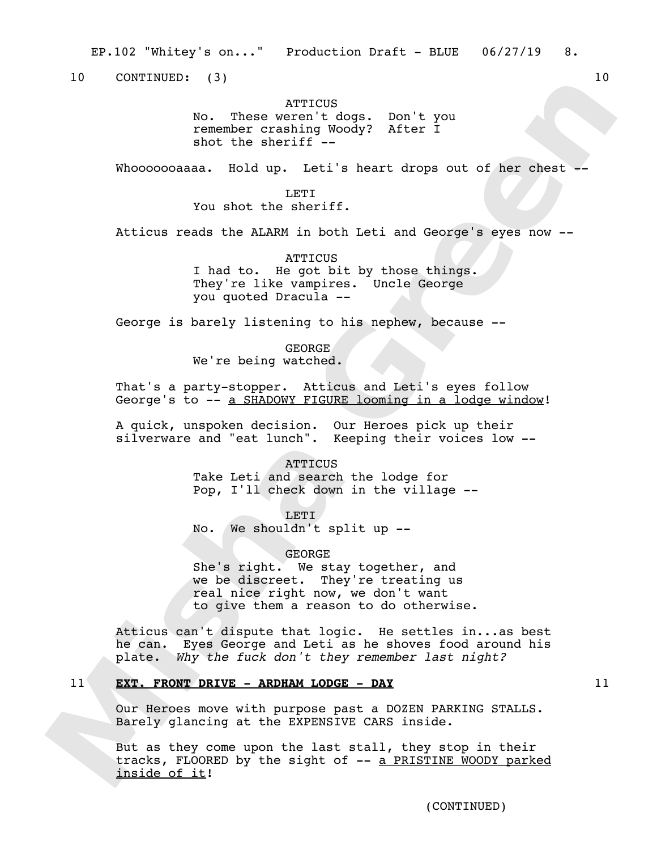EP.102 "Whitey's on..." Production Draft - BLUE 06/27/19 8.

10 CONTINUED: (3) 10

## **ATTICUS**

No. These weren't dogs. Don't you remember crashing Woody? After I shot the sheriff --

Whooooooaaaa. Hold up. Leti's heart drops out of her chest --

**LETT** You shot the sheriff.

Atticus reads the ALARM in both Leti and George's eyes now --

ATTICUS I had to. He got bit by those things. They're like vampires. Uncle George you quoted Dracula --

George is barely listening to his nephew, because --

GEORGE We're being watched.

That's a party-stopper. Atticus and Leti's eyes follow George's to -- a SHADOWY FIGURE looming in a lodge window!

A quick, unspoken decision. Our Heroes pick up their silverware and "eat lunch". Keeping their voices low --

> **ATTICUS** Take Leti and search the lodge for Pop, I'll check down in the village --

LETI No. We shouldn't split up --

GEORGE She's right. We stay together, and we be discreet. They're treating us real nice right now, we don't want to give them a reason to do otherwise.

Atticus can't dispute that logic. He settles in...as best he can. Eyes George and Leti as he shoves food around his plate. *Why the fuck don't they remember last night?*

## 11 **EXT. FRONT DRIVE - ARDHAM LODGE - DAY** 11

Our Heroes move with purpose past a DOZEN PARKING STALLS. Barely glancing at the EXPENSIVE CARS inside.

But as they come upon the last stall, they stop in their tracks, FLOORED by the sight of -- a PRISTINE WOODY parked inside of it!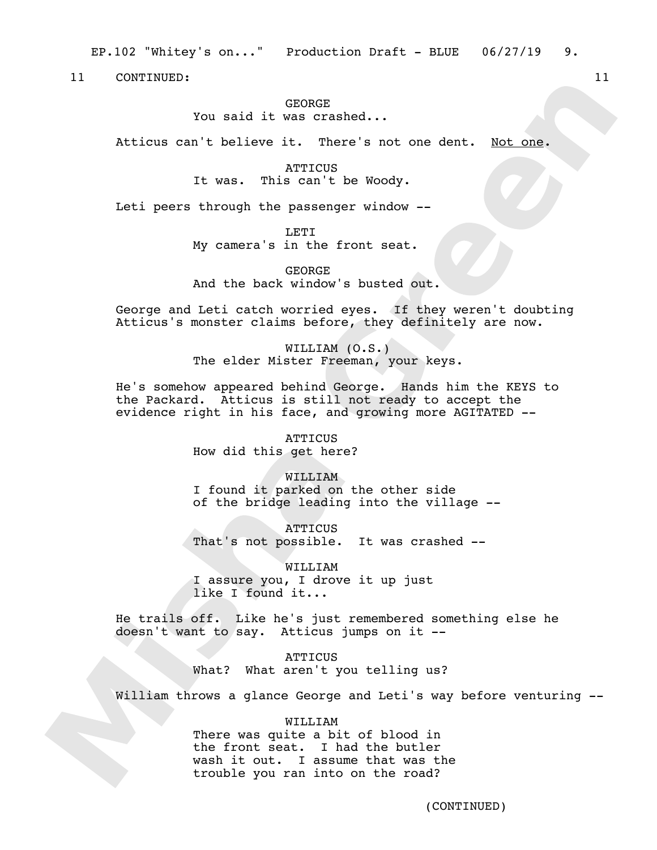EP.102 "Whitey's on..." Production Draft - BLUE 06/27/19 9.

11 CONTINUED: 11

### GEORGE

You said it was crashed...

Atticus can't believe it. There's not one dent. Not one.

**ATTICUS** It was. This can't be Woody.

Leti peers through the passenger window --

LETI My camera's in the front seat.

GEORGE And the back window's busted out.

George and Leti catch worried eyes. If they weren't doubting Atticus's monster claims before, they definitely are now.

> WILLIAM (O.S.) The elder Mister Freeman, your keys.

He's somehow appeared behind George. Hands him the KEYS to the Packard. Atticus is still not ready to accept the evidence right in his face, and growing more AGITATED --

> **ATTICUS** How did this get here?

WILLIAM I found it parked on the other side

of the bridge leading into the village --

**ATTICUS** That's not possible. It was crashed --

WILLIAM I assure you, I drove it up just like I found it...

He trails off. Like he's just remembered something else he doesn't want to say. Atticus jumps on it --

> **ATTICUS** What? What aren't you telling us?

William throws a glance George and Leti's way before venturing --

#### WILLIAM

There was quite a bit of blood in the front seat. I had the butler wash it out. I assume that was the trouble you ran into on the road?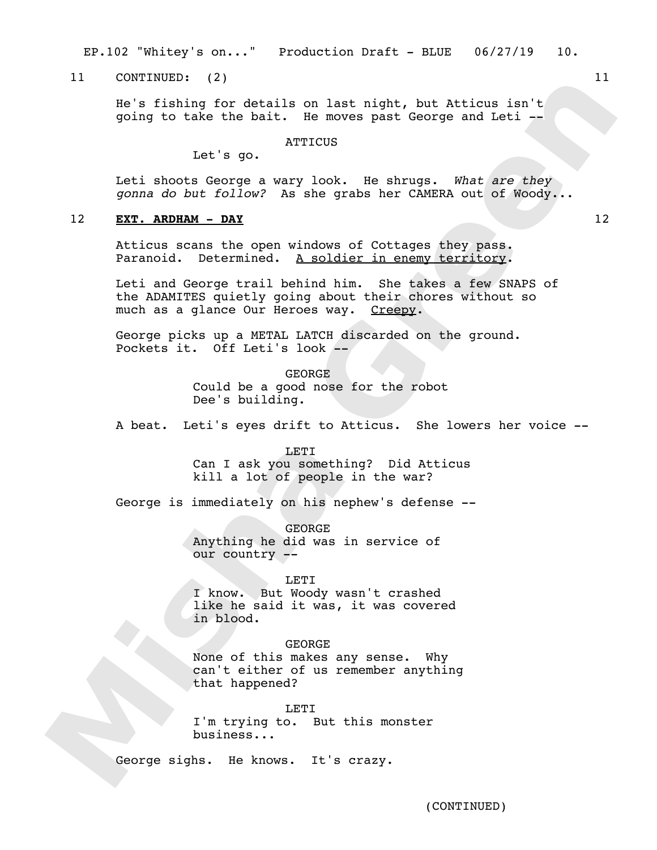EP.102 "Whitey's on..." Production Draft - BLUE 06/27/19 10.

11 CONTINUED: (2) 11

He's fishing for details on last night, but Atticus isn't going to take the bait. He moves past George and Leti --

## **ATTICUS**

Let's go.

Leti shoots George a wary look. He shrugs. *What are they gonna do but follow?* As she grabs her CAMERA out of Woody...

## 12 **EXT. ARDHAM - DAY** 12

Atticus scans the open windows of Cottages they pass. Paranoid. Determined. A soldier in enemy territory.

Leti and George trail behind him. She takes a few SNAPS of the ADAMITES quietly going about their chores without so much as a glance Our Heroes way. Creepy.

George picks up a METAL LATCH discarded on the ground. Pockets it. Off Leti's look --

> GEORGE Could be a good nose for the robot Dee's building.

A beat. Leti's eyes drift to Atticus. She lowers her voice --

## **LETT**

Can I ask you something? Did Atticus kill a lot of people in the war?

George is immediately on his nephew's defense --

GEORGE Anything he did was in service of our country --

#### LETI

I know. But Woody wasn't crashed like he said it was, it was covered in blood.

## GEORGE

None of this makes any sense. Why can't either of us remember anything that happened?

LETI I'm trying to. But this monster business...

George sighs. He knows. It's crazy.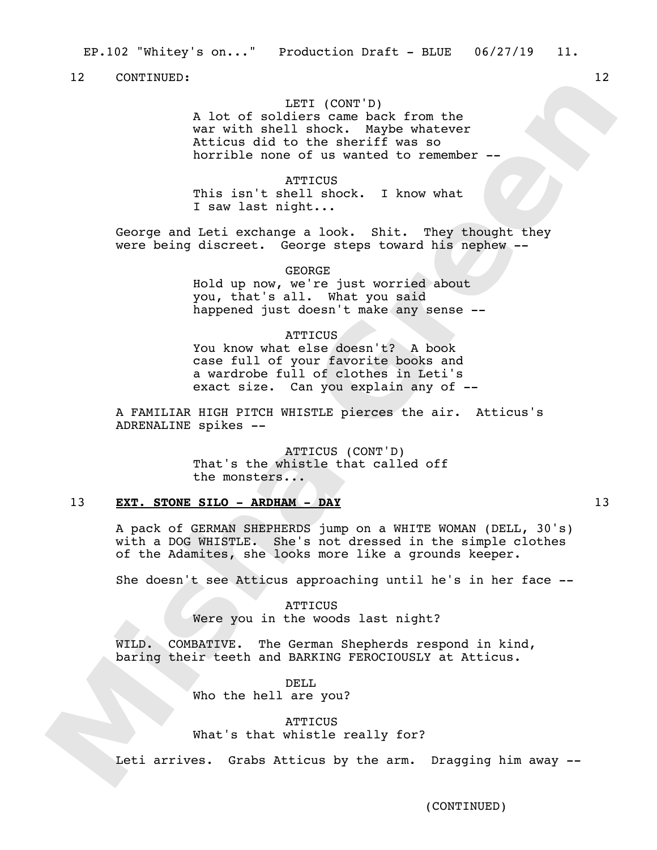## LETI (CONT'D)

A lot of soldiers came back from the war with shell shock. Maybe whatever Atticus did to the sheriff was so horrible none of us wanted to remember --

ATTICUS This isn't shell shock. I know what I saw last night...

George and Leti exchange a look. Shit. They thought they were being discreet. George steps toward his nephew --

> GEORGE Hold up now, we're just worried about you, that's all. What you said happened just doesn't make any sense --

#### **ATTICUS**

You know what else doesn't? A book case full of your favorite books and a wardrobe full of clothes in Leti's exact size. Can you explain any of --

A FAMILIAR HIGH PITCH WHISTLE pierces the air. Atticus's ADRENALINE spikes --

> ATTICUS (CONT'D) That's the whistle that called off the monsters...

## 13 **EXT. STONE SILO - ARDHAM - DAY** 13

A pack of GERMAN SHEPHERDS jump on a WHITE WOMAN (DELL, 30's) with a DOG WHISTLE. She's not dressed in the simple clothes of the Adamites, she looks more like a grounds keeper.

She doesn't see Atticus approaching until he's in her face --

**ATTICUS** Were you in the woods last night?

WILD. COMBATIVE. The German Shepherds respond in kind, baring their teeth and BARKING FEROCIOUSLY at Atticus.

> DELL Who the hell are you?

> > **ATTICUS**

What's that whistle really for?

Leti arrives. Grabs Atticus by the arm. Dragging him away --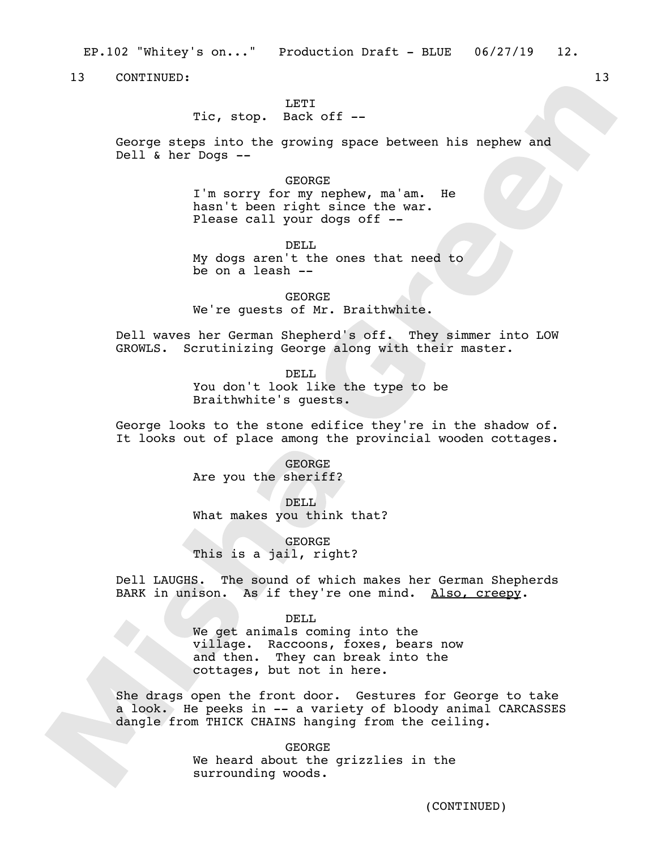EP.102 "Whitey's on..." Production Draft - BLUE 06/27/19 12.

13 CONTINUED: 13

## LETT<sub>1</sub>

Tic, stop. Back off --

George steps into the growing space between his nephew and Dell & her Dogs --

#### GEORGE

I'm sorry for my nephew, ma'am. He hasn't been right since the war. Please call your dogs off --

DELL

My dogs aren't the ones that need to be on a leash --

GEORGE We're guests of Mr. Braithwhite.

Dell waves her German Shepherd's off. They simmer into LOW GROWLS. Scrutinizing George along with their master.

> DELL You don't look like the type to be Braithwhite's guests.

George looks to the stone edifice they're in the shadow of. It looks out of place among the provincial wooden cottages.

> GEORGE Are you the sheriff?

DELL What makes you think that?

GEORGE This is a jail, right?

Dell LAUGHS. The sound of which makes her German Shepherds BARK in unison. As if they're one mind. Also, creepy.

DELL.

We get animals coming into the village. Raccoons, foxes, bears now and then. They can break into the cottages, but not in here.

She drags open the front door. Gestures for George to take a look. He peeks in -- a variety of bloody animal CARCASSES dangle from THICK CHAINS hanging from the ceiling.

> GEORGE We heard about the grizzlies in the surrounding woods.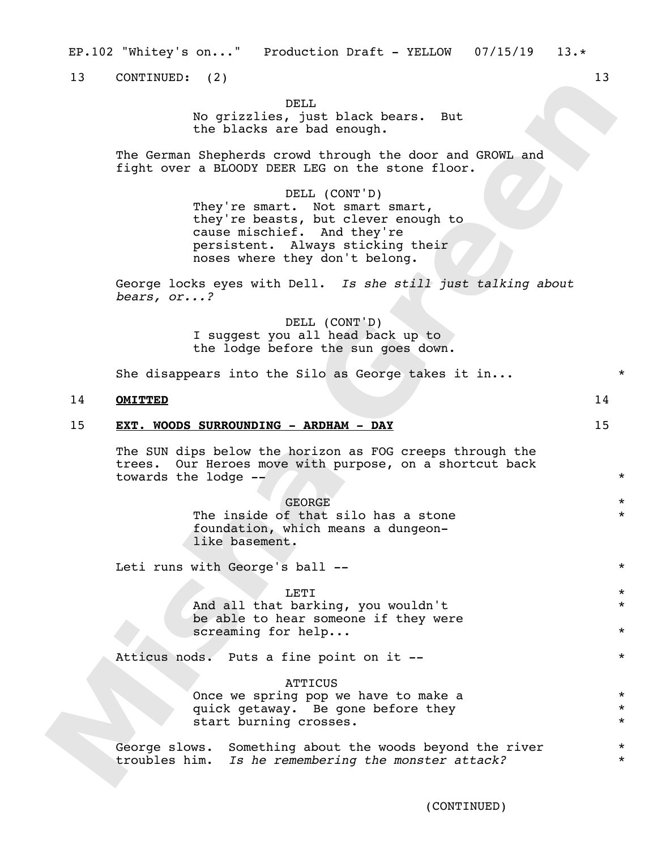EP.102 "Whitey's on..." Production Draft - YELLOW 07/15/19 13.\*

13 CONTINUED: (2) 13

## DELL.

No grizzlies, just black bears. But the blacks are bad enough.

The German Shepherds crowd through the door and GROWL and fight over a BLOODY DEER LEG on the stone floor.

## DELL (CONT'D)

They're smart. Not smart smart, they're beasts, but clever enough to cause mischief. And they're persistent. Always sticking their noses where they don't belong.

George locks eyes with Dell. *Is she still just talking about bears, or...?*

> DELL (CONT'D) I suggest you all head back up to the lodge before the sun goes down.

She disappears into the Silo as George takes it in...  $*$ 

## 14 **OMITTED** 14

### 15 **EXT. WOODS SURROUNDING - ARDHAM - DAY** 15

The SUN dips below the horizon as FOG creeps through the trees. Our Heroes move with purpose, on a shortcut back towards the lodge --  $*$ 

| <b>GEORGE</b>                       | $\star$ |
|-------------------------------------|---------|
| The inside of that silo has a stone | $\star$ |
| foundation, which means a dungeon-  |         |
| like basement.                      |         |

Leti runs with George's ball -- \*

## $\overline{\text{LET I}}$   $\overline{\text{ }}$

And all that barking, you wouldn't be able to hear someone if they were screaming for help...

Atticus nods. Puts a fine point on it --  $*$ 

**ATTICUS** Once we spring pop we have to make a quick getaway. Be gone before they start burning crosses.

George slows. Something about the woods beyond the river troubles him. *Is he remembering the monster attack?*

\*

\*

\* \* \*

\* \*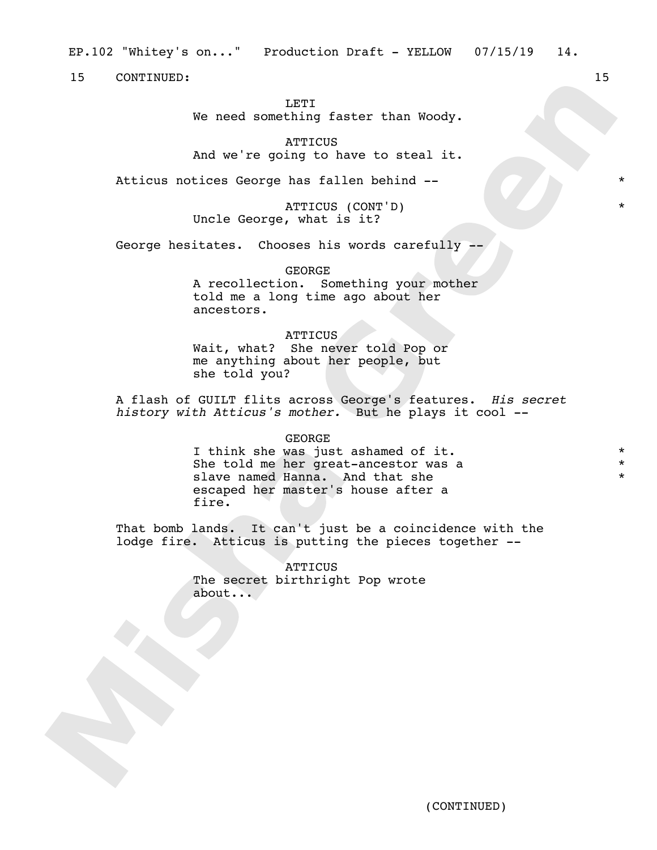LETT<sub>1</sub>

We need something faster than Woody.

**ATTICUS** 

And we're going to have to steal it.

Atticus notices George has fallen behind -- \*

ATTICUS (CONT'D) \* Uncle George, what is it?

George hesitates. Chooses his words carefully --

GEORGE A recollection. Something your mother told me a long time ago about her ancestors.

## ATTICUS

Wait, what? She never told Pop or me anything about her people, but she told you?

A flash of GUILT flits across George's features. *His secret history with Atticus's mother.* But he plays it cool --

GEORGE

I think she was just ashamed of it. She told me her great-ancestor was a slave named Hanna. And that she escaped her master's house after a fire.

That bomb lands. It can't just be a coincidence with the lodge fire. Atticus is putting the pieces together --

> **ATTICUS** The secret birthright Pop wrote about...

\* \* \*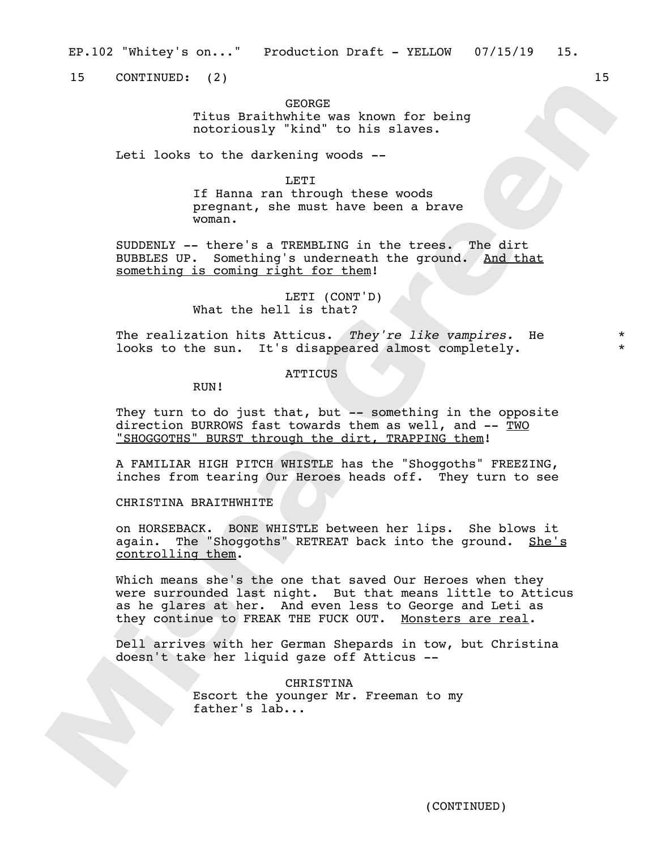15 CONTINUED: (2) 15

GEORGE

Titus Braithwhite was known for being notoriously "kind" to his slaves.

Leti looks to the darkening woods --

LETI

If Hanna ran through these woods pregnant, she must have been a brave woman.

SUDDENLY -- there's a TREMBLING in the trees. The dirt BUBBLES UP. Something's underneath the ground. And that something is coming right for them!

> LETI (CONT'D) What the hell is that?

The realization hits Atticus. *They're like vampires.* He looks to the sun. It's disappeared almost completely.

**ATTICUS** 

RUN!

They turn to do just that, but -- something in the opposite direction BURROWS fast towards them as well, and  $-\frac{TWO}{TWO}$ "SHOGGOTHS" BURST through the dirt, TRAPPING them!

A FAMILIAR HIGH PITCH WHISTLE has the "Shoggoths" FREEZING, inches from tearing Our Heroes heads off. They turn to see

CHRISTINA BRAITHWHITE

on HORSEBACK. BONE WHISTLE between her lips. She blows it again. The "Shoggoths" RETREAT back into the ground. She's controlling them.

Which means she's the one that saved Our Heroes when they were surrounded last night. But that means little to Atticus as he glares at her. And even less to George and Leti as they continue to FREAK THE FUCK OUT. Monsters are real.

Dell arrives with her German Shepards in tow, but Christina doesn't take her liquid gaze off Atticus --

> CHRISTINA Escort the younger Mr. Freeman to my father's lab...

\* \*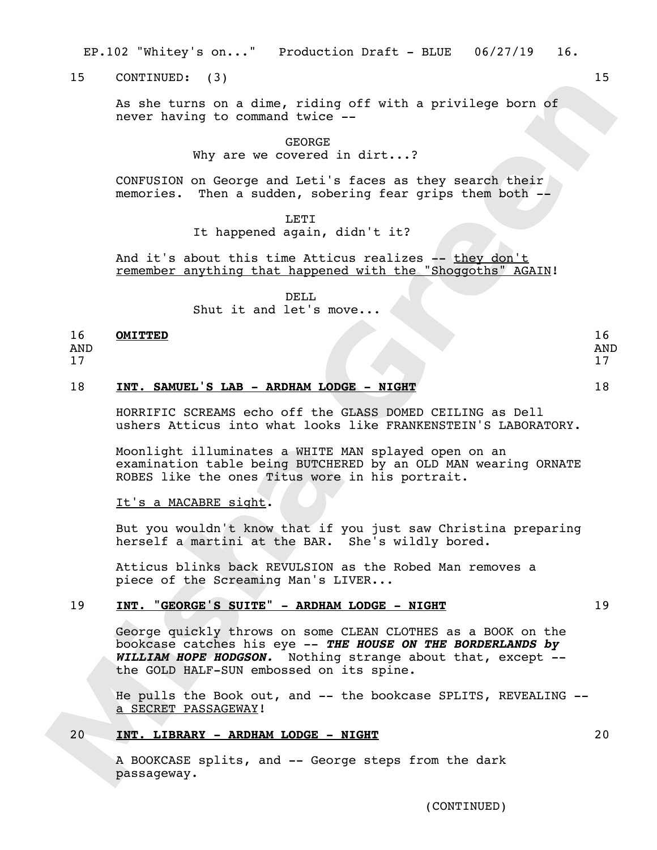EP.102 "Whitey's on..." Production Draft - BLUE 06/27/19 16.

15 CONTINUED: (3) 15

As she turns on a dime, riding off with a privilege born of never having to command twice --

GEORGE

Why are we covered in dirt...?

CONFUSION on George and Leti's faces as they search their memories. Then a sudden, sobering fear grips them both --

**LETT** 

It happened again, didn't it?

And it's about this time Atticus realizes -- they don't remember anything that happened with the "Shoggoths" AGAIN!

DELL

Shut it and let's move...

#### 16 **OMITTED** 16

AND

17

## 18 **INT. SAMUEL'S LAB - ARDHAM LODGE - NIGHT** 18

HORRIFIC SCREAMS echo off the GLASS DOMED CEILING as Dell ushers Atticus into what looks like FRANKENSTEIN'S LABORATORY.

Moonlight illuminates a WHITE MAN splayed open on an examination table being BUTCHERED by an OLD MAN wearing ORNATE ROBES like the ones Titus wore in his portrait.

## It's a MACABRE sight.

But you wouldn't know that if you just saw Christina preparing herself a martini at the BAR. She's wildly bored.

Atticus blinks back REVULSION as the Robed Man removes a piece of the Screaming Man's LIVER...

## 19 **INT. "GEORGE'S SUITE" - ARDHAM LODGE - NIGHT** 19

George quickly throws on some CLEAN CLOTHES as a BOOK on the bookcase catches his eye -- *THE HOUSE ON THE BORDERLANDS by WILLIAM HOPE HODGSON.* Nothing strange about that, except - the GOLD HALF-SUN embossed on its spine.

He pulls the Book out, and -- the bookcase SPLITS, REVEALING - a SECRET PASSAGEWAY!

## 20 **INT. LIBRARY - ARDHAM LODGE - NIGHT** 20

A BOOKCASE splits, and -- George steps from the dark passageway.

(CONTINUED)

AND 17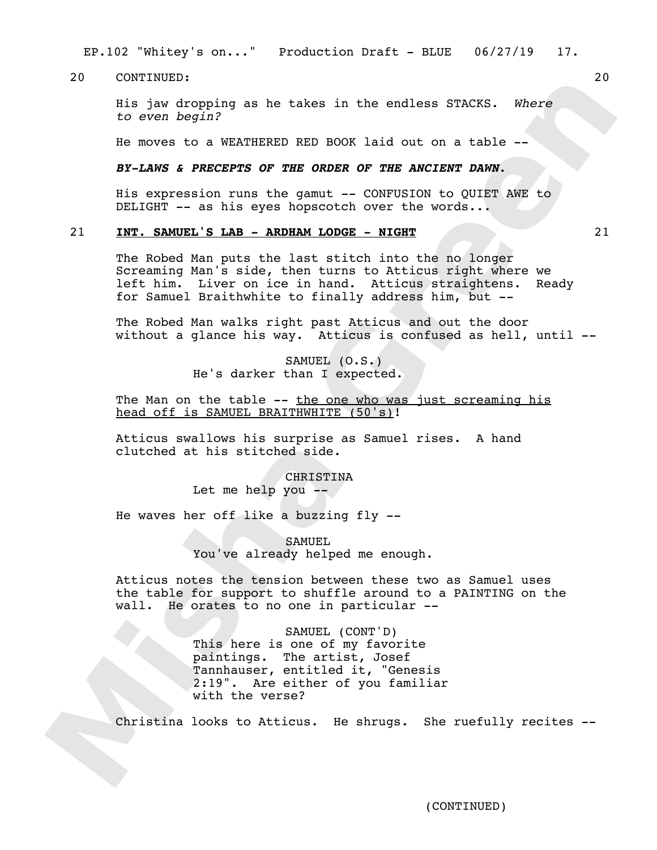EP.102 "Whitey's on..." Production Draft - BLUE 06/27/19 17.

20 CONTINUED: 20

His jaw dropping as he takes in the endless STACKS. *Where to even begin?* 

He moves to a WEATHERED RED BOOK laid out on a table --

## *BY-LAWS & PRECEPTS OF THE ORDER OF THE ANCIENT DAWN*.

His expression runs the gamut -- CONFUSION to QUIET AWE to  $DELIGHT$  -- as his eyes hopscotch over the words...

## 21 **INT. SAMUEL'S LAB - ARDHAM LODGE - NIGHT** 21

The Robed Man puts the last stitch into the no longer Screaming Man's side, then turns to Atticus right where we left him. Liver on ice in hand. Atticus straightens. Ready for Samuel Braithwhite to finally address him, but --

The Robed Man walks right past Atticus and out the door without a glance his way. Atticus is confused as hell, until --

> SAMUEL (O.S.) He's darker than I expected.

The Man on the table -- the one who was just screaming his head off is SAMUEL BRAITHWHITE (50's)!

Atticus swallows his surprise as Samuel rises. A hand clutched at his stitched side.

CHRISTINA

Let me help you --

He waves her off like a buzzing fly --

SAMUEL You've already helped me enough.

Atticus notes the tension between these two as Samuel uses the table for support to shuffle around to a PAINTING on the wall. He orates to no one in particular --

> SAMUEL (CONT'D) This here is one of my favorite paintings. The artist, Josef Tannhauser, entitled it, "Genesis 2:19". Are either of you familiar with the verse?

Christina looks to Atticus. He shrugs. She ruefully recites --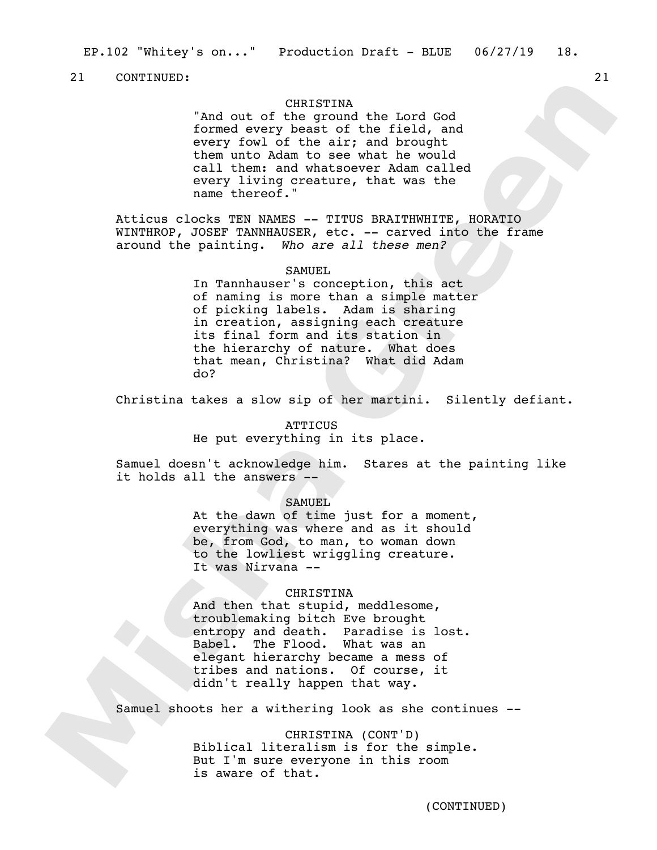## CHRISTINA

"And out of the ground the Lord God formed every beast of the field, and every fowl of the air; and brought them unto Adam to see what he would call them: and whatsoever Adam called every living creature, that was the name thereof."

Atticus clocks TEN NAMES -- TITUS BRAITHWHITE, HORATIO WINTHROP, JOSEF TANNHAUSER, etc. -- carved into the frame around the painting. *Who are all these men?*

#### SAMUEL

In Tannhauser's conception, this act of naming is more than a simple matter of picking labels. Adam is sharing in creation, assigning each creature its final form and its station in the hierarchy of nature. What does that mean, Christina? What did Adam do?

Christina takes a slow sip of her martini. Silently defiant.

## **ATTICUS** He put everything in its place.

Samuel doesn't acknowledge him. Stares at the painting like it holds all the answers --

#### SAMUEL

At the dawn of time just for a moment, everything was where and as it should be, from God, to man, to woman down to the lowliest wriggling creature. It was Nirvana --

## **CHRISTINA**

And then that stupid, meddlesome, troublemaking bitch Eve brought entropy and death. Paradise is lost. Babel. The Flood. What was an elegant hierarchy became a mess of tribes and nations. Of course, it didn't really happen that way.

Samuel shoots her a withering look as she continues --

CHRISTINA (CONT'D) Biblical literalism is for the simple. But I'm sure everyone in this room is aware of that.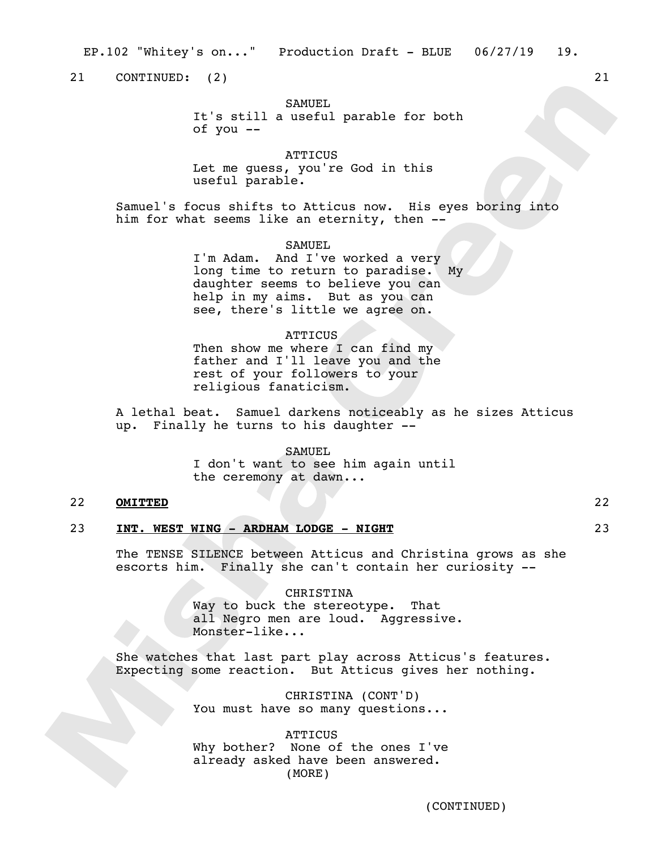EP.102 "Whitey's on..." Production Draft - BLUE 06/27/19 19.

21 CONTINUED: (2) 21

## SAMUEL.

It's still a useful parable for both of you --

ATTICUS

Let me guess, you're God in this useful parable.

Samuel's focus shifts to Atticus now. His eyes boring into him for what seems like an eternity, then --

SAMUEL

I'm Adam. And I've worked a very long time to return to paradise. My daughter seems to believe you can help in my aims. But as you can see, there's little we agree on.

#### ATTICUS

Then show me where I can find my father and I'll leave you and the rest of your followers to your religious fanaticism.

A lethal beat. Samuel darkens noticeably as he sizes Atticus up. Finally he turns to his daughter --

#### SAMUEL

I don't want to see him again until the ceremony at dawn...

## 22 **OMITTED** 22

## 23 **INT. WEST WING - ARDHAM LODGE - NIGHT** 23

The TENSE SILENCE between Atticus and Christina grows as she escorts him. Finally she can't contain her curiosity --

> **CHRISTINA** Way to buck the stereotype. That all Negro men are loud. Aggressive. Monster-like...

She watches that last part play across Atticus's features. Expecting some reaction. But Atticus gives her nothing.

> CHRISTINA (CONT'D) You must have so many questions...

> **ATTICUS** Why bother? None of the ones I've already asked have been answered. (MORE)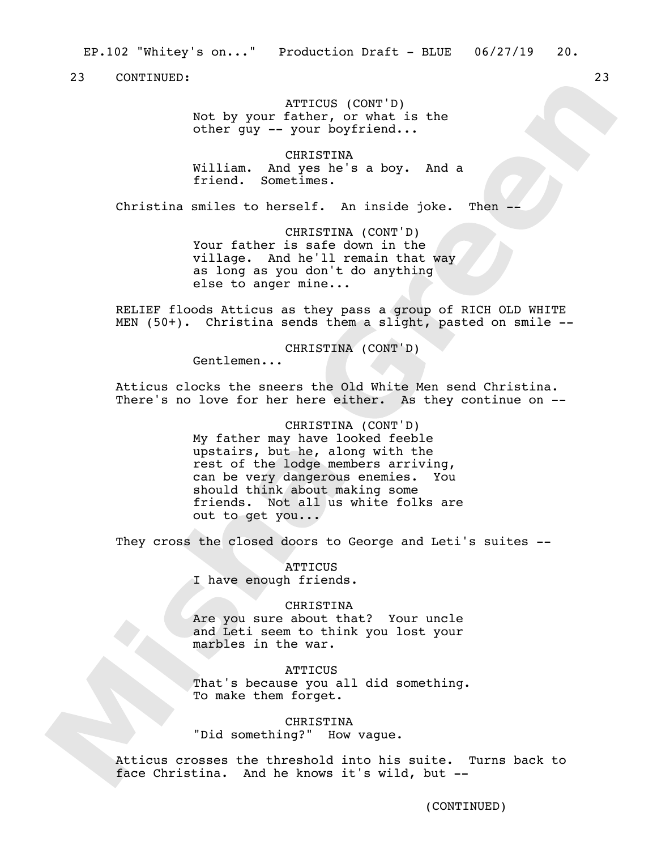EP.102 "Whitey's on..." Production Draft - BLUE 06/27/19 20.

23 CONTINUED: 23

ATTICUS (CONT'D) Not by your father, or what is the other guy -- your boyfriend...

CHRISTINA William. And yes he's a boy. And a friend. Sometimes.

Christina smiles to herself. An inside joke. Then --

CHRISTINA (CONT'D) Your father is safe down in the village. And he'll remain that way as long as you don't do anything else to anger mine...

RELIEF floods Atticus as they pass a group of RICH OLD WHITE MEN (50+). Christina sends them a slight, pasted on smile --

CHRISTINA (CONT'D)

Gentlemen...

Atticus clocks the sneers the Old White Men send Christina. There's no love for her here either. As they continue on --

> CHRISTINA (CONT'D) My father may have looked feeble upstairs, but he, along with the rest of the lodge members arriving, can be very dangerous enemies. You should think about making some friends. Not all us white folks are out to get you...

They cross the closed doors to George and Leti's suites --

**ATTICUS** I have enough friends.

CHRISTINA Are you sure about that? Your uncle and Leti seem to think you lost your marbles in the war.

**ATTICUS** That's because you all did something. To make them forget.

CHRISTINA "Did something?" How vague.

Atticus crosses the threshold into his suite. Turns back to face Christina. And he knows it's wild, but --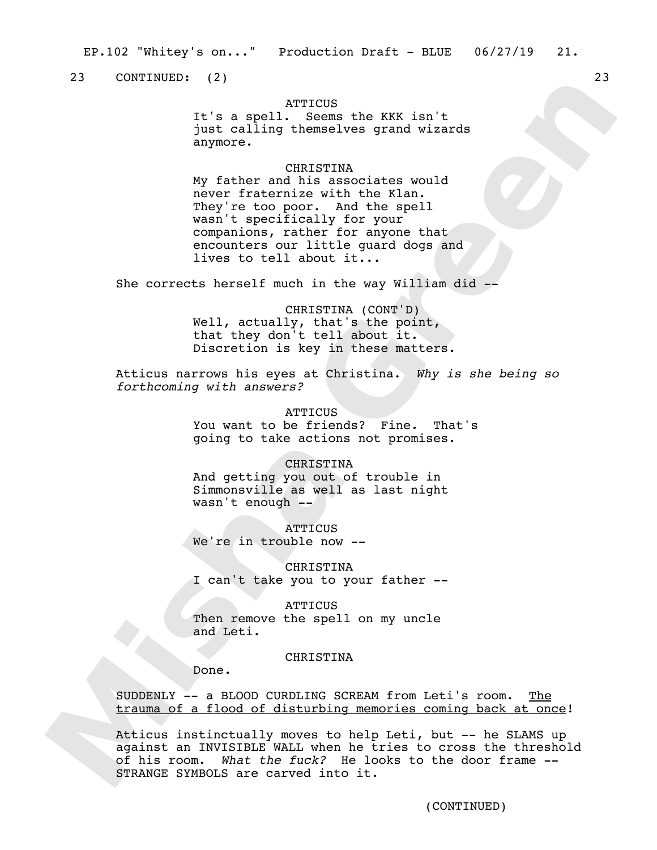23 CONTINUED: (2) 23

## **ATTICUS**

It's a spell. Seems the KKK isn't just calling themselves grand wizards anymore.

## **CHRISTINA**

My father and his associates would never fraternize with the Klan. They're too poor. And the spell wasn't specifically for your companions, rather for anyone that encounters our little guard dogs and lives to tell about it...

She corrects herself much in the way William did --

CHRISTINA (CONT'D) Well, actually, that's the point, that they don't tell about it. Discretion is key in these matters.

Atticus narrows his eyes at Christina. *Why is she being so forthcoming with answers?*

> **ATTICUS** You want to be friends? Fine. That's going to take actions not promises.

CHRISTINA And getting you out of trouble in Simmonsville as well as last night wasn't enough --

**ATTICUS** We're in trouble now --

CHRISTINA I can't take you to your father --

**ATTICUS** Then remove the spell on my uncle and Leti.

CHRISTINA

Done.

SUDDENLY -- a BLOOD CURDLING SCREAM from Leti's room. The trauma of a flood of disturbing memories coming back at once!

Atticus instinctually moves to help Leti, but -- he SLAMS up against an INVISIBLE WALL when he tries to cross the threshold of his room. *What the fuck?* He looks to the door frame -- STRANGE SYMBOLS are carved into it.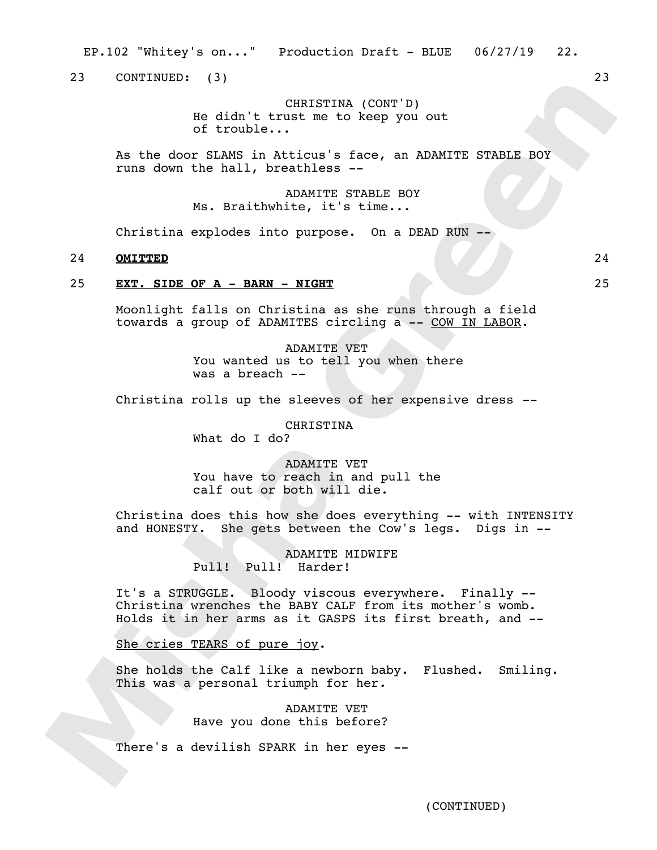EP.102 "Whitey's on..." Production Draft - BLUE 06/27/19 22.

23 CONTINUED: (3) 23

CHRISTINA (CONT'D) He didn't trust me to keep you out of trouble...

As the door SLAMS in Atticus's face, an ADAMITE STABLE BOY runs down the hall, breathless --

> ADAMITE STABLE BOY Ms. Braithwhite, it's time...

Christina explodes into purpose. On a DEAD RUN --

## 24 **OMITTED** 24

## 25 **EXT. SIDE OF A - BARN - NIGHT** 25

Moonlight falls on Christina as she runs through a field towards a group of ADAMITES circling a -- COW IN LABOR.

> ADAMITE VET You wanted us to tell you when there was a breach --

Christina rolls up the sleeves of her expensive dress *--*

## CHRISTINA

What do I do?

## ADAMITE VET You have to reach in and pull the calf out or both will die.

Christina does this how she does everything -- with INTENSITY and HONESTY. She gets between the Cow's legs. Digs in --

> ADAMITE MIDWIFE Pull! Pull! Harder!

It's a STRUGGLE. Bloody viscous everywhere. Finally -- Christina wrenches the BABY CALF from its mother's womb. Holds it in her arms as it GASPS its first breath, and --

She cries TEARS of pure joy.

She holds the Calf like a newborn baby. Flushed. Smiling. This was a personal triumph for her*.*

> ADAMITE VET Have you done this before?

There's a devilish SPARK in her eyes --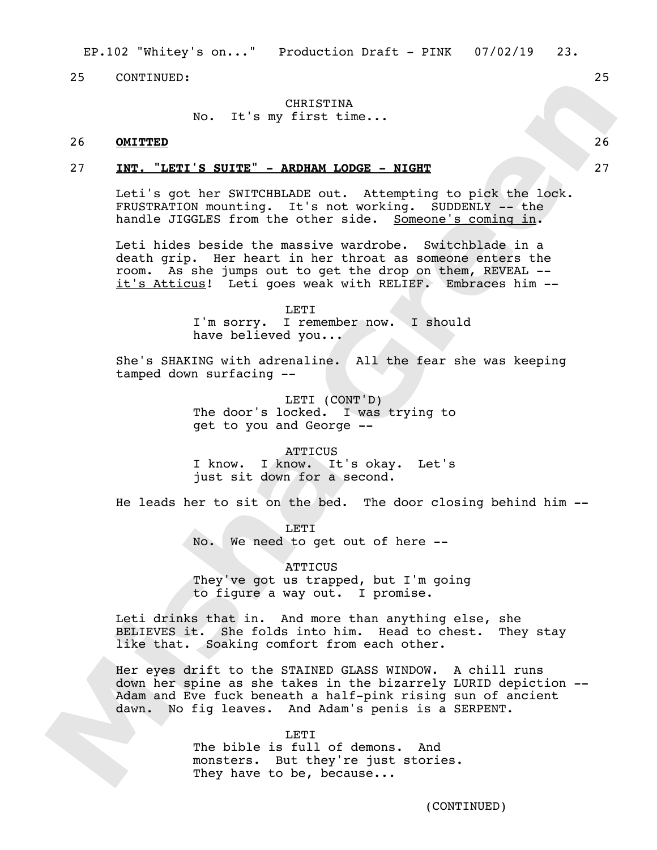## CHRISTINA

No. It's my first time...

## 26 **OMITTED** 26

#### 27 **INT. "LETI'S SUITE" - ARDHAM LODGE - NIGHT** 27

Leti's got her SWITCHBLADE out. Attempting to pick the lock. FRUSTRATION mounting. It's not working. SUDDENLY -- the handle JIGGLES from the other side. Someone's coming in.

Leti hides beside the massive wardrobe. Switchblade in a death grip. Her heart in her throat as someone enters the room. As she jumps out to get the drop on them, REVEAL - it's Atticus! Leti goes weak with RELIEF. Embraces him --

> LETT. I'm sorry. I remember now. I should have believed you...

She's SHAKING with adrenaline. All the fear she was keeping tamped down surfacing --

> LETI (CONT'D) The door's locked. I was trying to get to you and George --

> ATTICUS I know. I know. It's okay. Let's just sit down for a second.

He leads her to sit on the bed. The door closing behind him --

LETI No. We need to get out of here --

**ATTICUS** They've got us trapped, but I'm going to figure a way out. I promise.

Leti drinks that in. And more than anything else, she BELIEVES it. She folds into him. Head to chest. They stay like that. Soaking comfort from each other.

Her eyes drift to the STAINED GLASS WINDOW. A chill runs down her spine as she takes in the bizarrely LURID depiction -- Adam and Eve fuck beneath a half-pink rising sun of ancient dawn. No fig leaves. And Adam's penis is a SERPENT.

> LETT. The bible is full of demons. And monsters. But they're just stories. They have to be, because...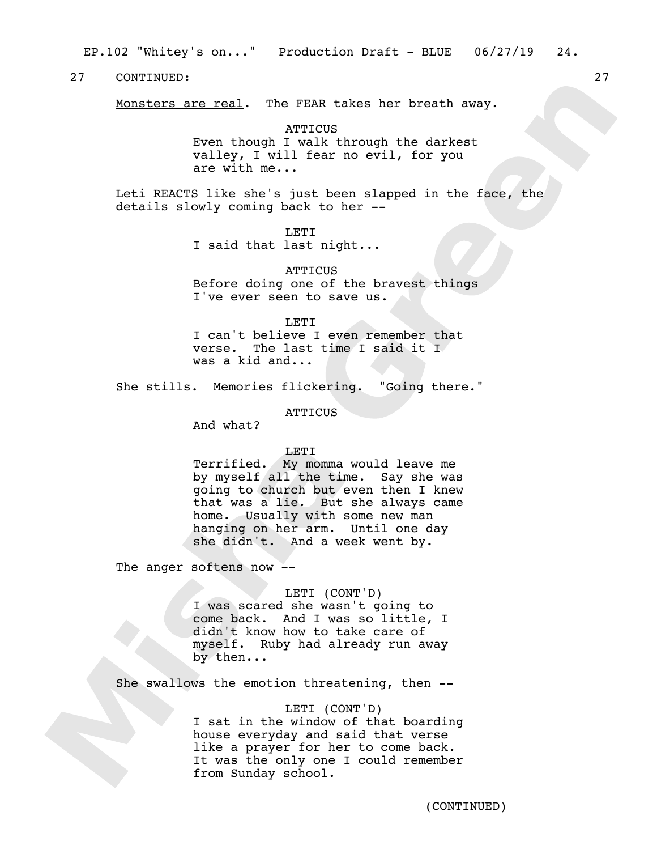Monsters are real. The FEAR takes her breath away.

**ATTICUS** Even though I walk through the darkest valley, I will fear no evil, for you are with me...

Leti REACTS like she's just been slapped in the face, the details slowly coming back to her --

> LETI I said that last night...

**ATTICUS** Before doing one of the bravest things I've ever seen to save us.

LETI

I can't believe I even remember that verse. The last time I said it I was a kid and...

She stills. Memories flickering. "Going there."

**ATTICUS** 

And what?

### **LETI**

Terrified. My momma would leave me by myself all the time. Say she was going to church but even then I knew that was a lie. But she always came home. Usually with some new man hanging on her arm. Until one day she didn't. And a week went by.

The anger softens now --

### LETI (CONT'D)

I was scared she wasn't going to come back. And I was so little, I didn't know how to take care of myself. Ruby had already run away by then...

She swallows the emotion threatening, then --

## LETI (CONT'D)

I sat in the window of that boarding house everyday and said that verse like a prayer for her to come back. It was the only one I could remember from Sunday school.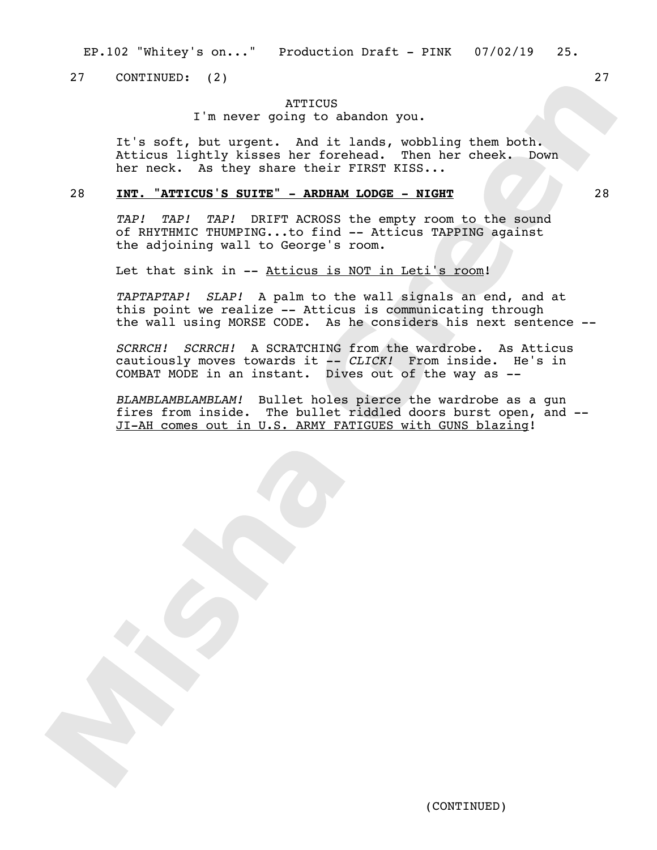27 CONTINUED: (2) 27

## **ATTICUS**

I'm never going to abandon you.

It's soft, but urgent. And it lands, wobbling them both. Atticus lightly kisses her forehead. Then her cheek. Down her neck. As they share their FIRST KISS...

## 28 **INT. "ATTICUS'S SUITE" - ARDHAM LODGE - NIGHT** 28

*TAP! TAP! TAP!* DRIFT ACROSS the empty room to the sound of RHYTHMIC THUMPING...to find -- Atticus TAPPING against the adjoining wall to George's room.

Let that sink in -- Atticus is NOT in Leti's room!

*TAPTAPTAP! SLAP!* A palm to the wall signals an end, and at this point we realize -- Atticus is communicating through the wall using MORSE CODE. As he considers his next sentence --

*SCRRCH! SCRRCH!* A SCRATCHING from the wardrobe. As Atticus cautiously moves towards it -- *CLICK!* From inside. He's in COMBAT MODE in an instant. Dives out of the way as --

*BLAMBLAMBLAMBLAM!* Bullet holes pierce the wardrobe as a gun fires from inside. The bullet riddled doors burst open, and -- JI-AH comes out in U.S. ARMY FATIGUES with GUNS blazing!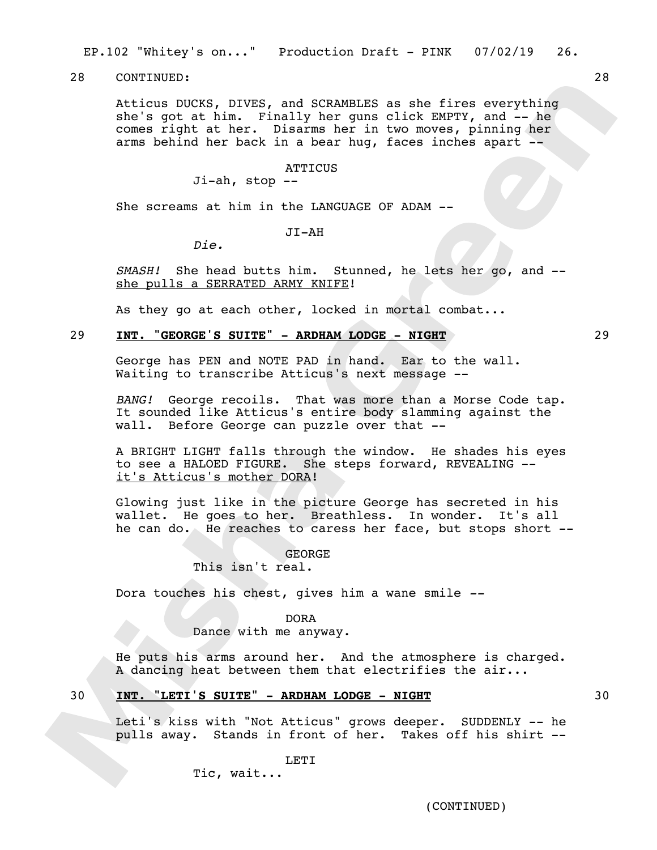EP.102 "Whitey's on..." Production Draft - PINK 07/02/19 26.

28 CONTINUED: 28

Atticus DUCKS, DIVES, and SCRAMBLES as she fires everything she's got at him. Finally her guns click EMPTY, and -- he comes right at her. Disarms her in two moves, pinning her arms behind her back in a bear hug, faces inches apart --

## **ATTICUS**

Ji-ah, stop --

She screams at him in the LANGUAGE OF ADAM --

JI-AH

*Die.*

*SMASH!* She head butts him. Stunned, he lets her go, and - she pulls a SERRATED ARMY KNIFE!

As they go at each other, locked in mortal combat...

## 29 **INT. "GEORGE'S SUITE" - ARDHAM LODGE - NIGHT** 29

George has PEN and NOTE PAD in hand. Ear to the wall. Waiting to transcribe Atticus's next message --

*BANG!* George recoils. That was more than a Morse Code tap. It sounded like Atticus's entire body slamming against the wall. Before George can puzzle over that --

A BRIGHT LIGHT falls through the window. He shades his eyes to see a HALOED FIGURE. She steps forward, REVEALING - it's Atticus's mother DORA!

Glowing just like in the picture George has secreted in his wallet. He goes to her. Breathless. In wonder. It's all he can do. He reaches to caress her face, but stops short --

> GEORGE This isn't real.

Dora touches his chest, gives him a wane smile *--*

## DORA

Dance with me anyway.

He puts his arms around her. And the atmosphere is charged. A dancing heat between them that electrifies the air...

## 30 **INT. "LETI'S SUITE" - ARDHAM LODGE - NIGHT** 30

Leti's kiss with "Not Atticus" grows deeper. SUDDENLY -- he pulls away. Stands in front of her. Takes off his shirt --

LETI

Tic, wait...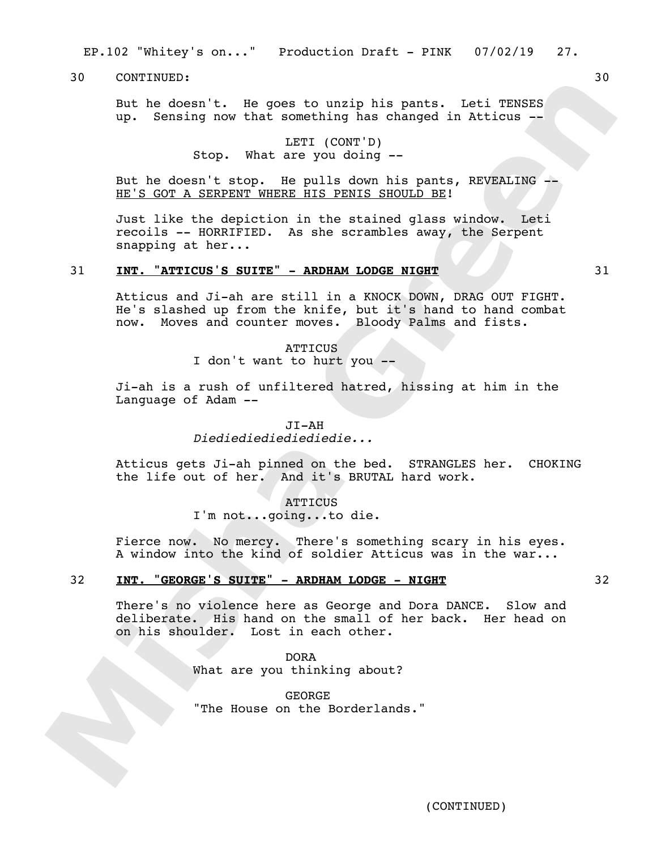EP.102 "Whitey's on..." Production Draft - PINK 07/02/19 27.

30 CONTINUED: 30

But he doesn't. He goes to unzip his pants. Leti TENSES up. Sensing now that something has changed in Atticus --

> LETI (CONT'D) Stop. What are you doing --

But he doesn't stop. He pulls down his pants, REVEALING -- HE'S GOT A SERPENT WHERE HIS PENIS SHOULD BE!

Just like the depiction in the stained glass window. Leti recoils -- HORRIFIED. As she scrambles away, the Serpent snapping at her...

## 31 **INT. "ATTICUS'S SUITE" - ARDHAM LODGE NIGHT** 31

Atticus and Ji-ah are still in a KNOCK DOWN, DRAG OUT FIGHT. He's slashed up from the knife, but it's hand to hand combat now. Moves and counter moves. Bloody Palms and fists.

**ATTICUS** 

I don't want to hurt you --

Ji-ah is a rush of unfiltered hatred, hissing at him in the Language of Adam --

> JI-AH *Diediediediediediedie...*

Atticus gets Ji-ah pinned on the bed. STRANGLES her. CHOKING the life out of her. And it's BRUTAL hard work.

> **ATTICUS** I'm not...going...to die.

Fierce now. No mercy. There's something scary in his eyes. A window into the kind of soldier Atticus was in the war...

## 32 **INT. "GEORGE'S SUITE" - ARDHAM LODGE - NIGHT** 32

There's no violence here as George and Dora DANCE. Slow and deliberate. His hand on the small of her back. Her head on on his shoulder. Lost in each other.

> DORA What are you thinking about?

GEORGE "The House on the Borderlands."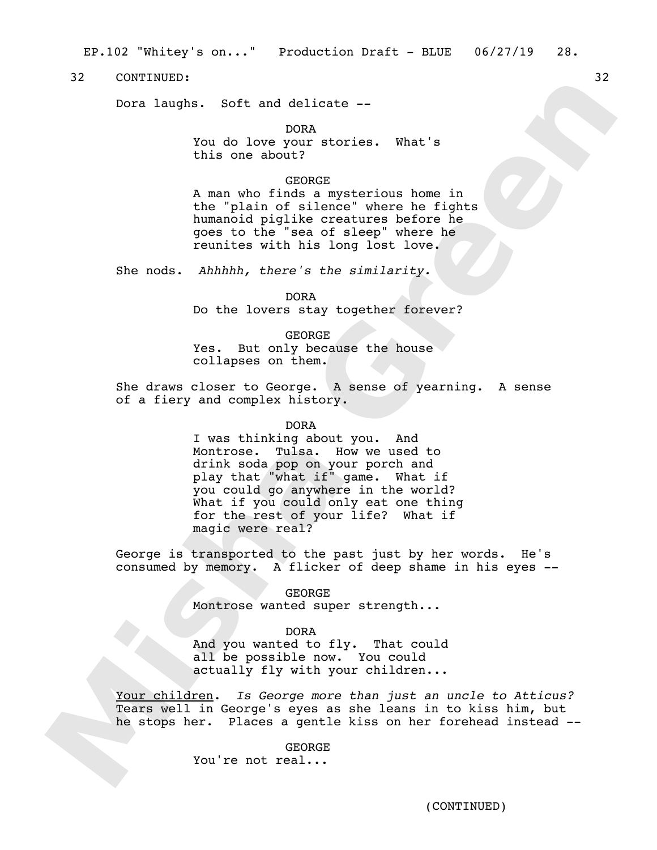EP.102 "Whitey's on..." Production Draft - BLUE 06/27/19 28.

32 CONTINUED: 32

Dora laughs. Soft and delicate --

DORA

You do love your stories. What's this one about?

#### GEORGE

A man who finds a mysterious home in the "plain of silence" where he fights humanoid piglike creatures before he goes to the "sea of sleep" where he reunites with his long lost love.

She nods. *Ahhhhh, there's the similarity.*

DORA

Do the lovers stay together forever?

GEORGE

Yes. But only because the house collapses on them.

She draws closer to George. A sense of yearning. A sense of a fiery and complex history.

DORA

I was thinking about you. And Montrose. Tulsa. How we used to drink soda pop on your porch and play that "what if" game. What if you could go anywhere in the world? What if you could only eat one thing for the rest of your life? What if magic were real?

George is transported to the past just by her words. He's consumed by memory. A flicker of deep shame in his eyes --

> GEORGE Montrose wanted super strength...

#### DORA

And you wanted to fly. That could all be possible now. You could actually fly with your children...

Your children. *Is George more than just an uncle to Atticus?*  Tears well in George's eyes as she leans in to kiss him, but he stops her. Places a gentle kiss on her forehead instead --

> GEORGE You're not real...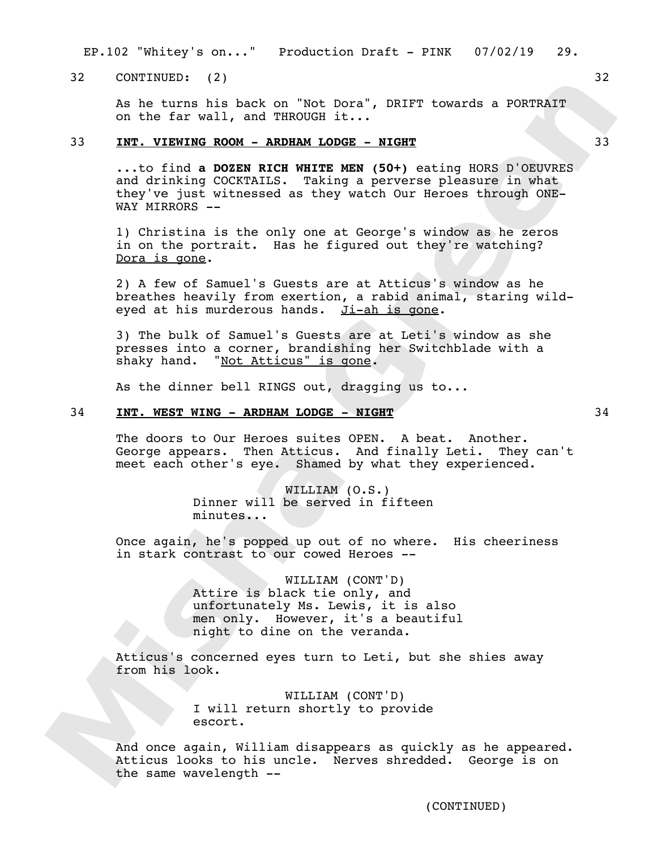EP.102 "Whitey's on..." Production Draft - PINK 07/02/19 29.

32 CONTINUED: (2) 32

As he turns his back on "Not Dora", DRIFT towards a PORTRAIT on the far wall, and THROUGH it...

## 33 **INT. VIEWING ROOM - ARDHAM LODGE - NIGHT** 33

...to find **a DOZEN RICH WHITE MEN (50+)** eating HORS D'OEUVRES and drinking COCKTAILS. Taking a perverse pleasure in what they've just witnessed as they watch Our Heroes through ONE-WAY MIRRORS --

1) Christina is the only one at George's window as he zeros in on the portrait. Has he figured out they're watching? Dora is gone.

2) A few of Samuel's Guests are at Atticus's window as he breathes heavily from exertion, a rabid animal, staring wildeyed at his murderous hands. Ji-ah is gone.

3) The bulk of Samuel's Guests are at Leti's window as she presses into a corner, brandishing her Switchblade with a shaky hand. "Not Atticus" is gone.

As the dinner bell RINGS out, dragging us to...

## 34 **INT. WEST WING - ARDHAM LODGE - NIGHT** 34

The doors to Our Heroes suites OPEN. A beat. Another. George appears. Then Atticus. And finally Leti. They can't meet each other's eye. Shamed by what they experienced.

> WILLIAM (O.S.) Dinner will be served in fifteen minutes...

Once again, he's popped up out of no where. His cheeriness in stark contrast to our cowed Heroes --

> WILLIAM (CONT'D) Attire is black tie only, and unfortunately Ms. Lewis, it is also men only. However, it's a beautiful night to dine on the veranda.

Atticus's concerned eyes turn to Leti, but she shies away from his look.

> WILLIAM (CONT'D) I will return shortly to provide escort.

And once again, William disappears as quickly as he appeared. Atticus looks to his uncle. Nerves shredded. George is on the same wavelength --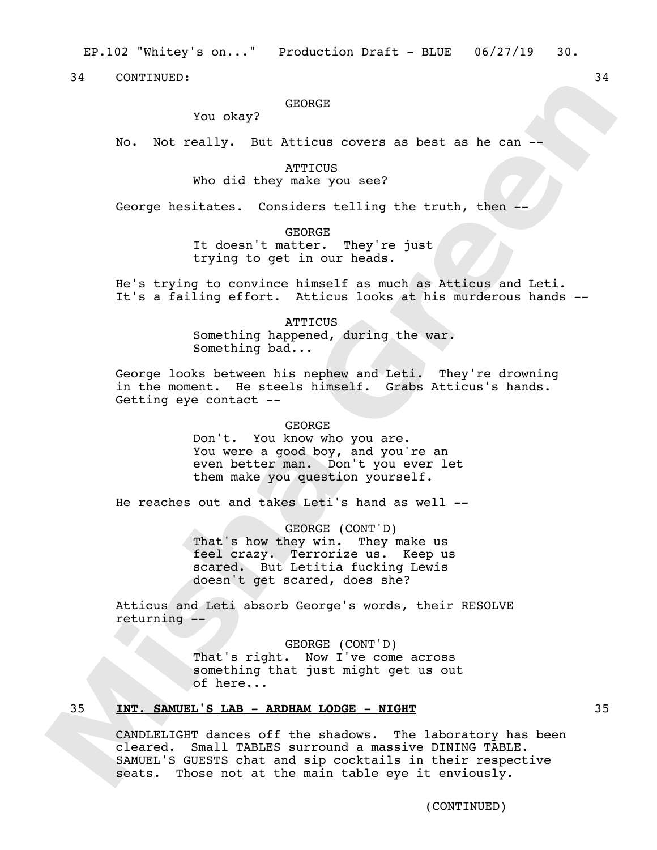## GEORGE

You okay?

No. Not really. But Atticus covers as best as he can --

**ATTICUS** Who did they make you see?

George hesitates. Considers telling the truth, then --

GEORGE It doesn't matter. They're just trying to get in our heads.

He's trying to convince himself as much as Atticus and Leti. It's a failing effort. Atticus looks at his murderous hands --

> **ATTICUS** Something happened, during the war. Something bad...

George looks between his nephew and Leti. They're drowning in the moment. He steels himself. Grabs Atticus's hands. Getting eye contact --

GEORGE

Don't. You know who you are. You were a good boy, and you're an even better man. Don't you ever let them make you question yourself.

He reaches out and takes Leti's hand as well --

GEORGE (CONT'D) That's how they win. They make us feel crazy. Terrorize us. Keep us scared. But Letitia fucking Lewis doesn't get scared, does she?

Atticus and Leti absorb George's words, their RESOLVE returning --

> GEORGE (CONT'D) That's right. Now I've come across something that just might get us out of here...

## 35 **INT. SAMUEL'S LAB - ARDHAM LODGE - NIGHT** 35

CANDLELIGHT dances off the shadows. The laboratory has been cleared. Small TABLES surround a massive DINING TABLE. SAMUEL'S GUESTS chat and sip cocktails in their respective seats. Those not at the main table eye it enviously.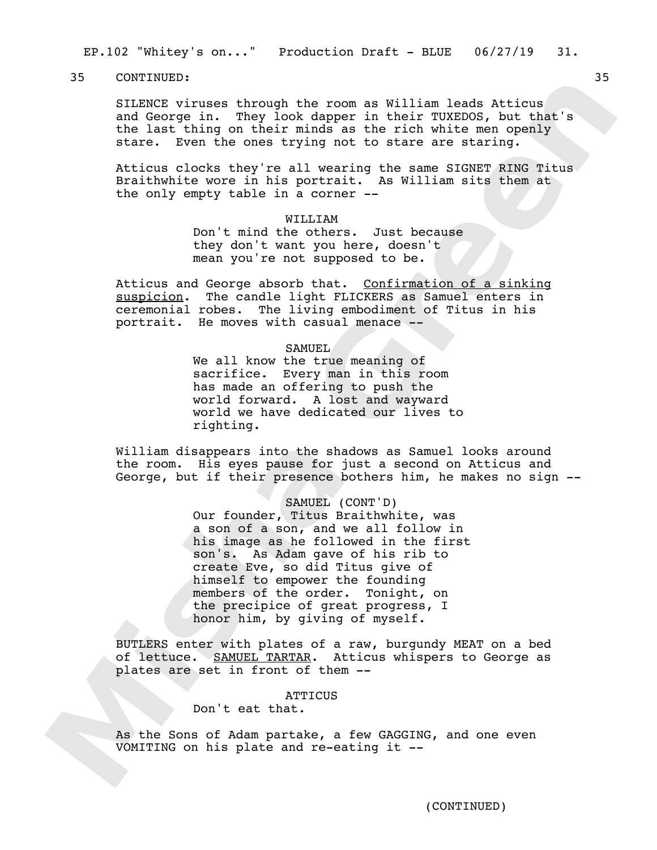EP.102 "Whitey's on..." Production Draft - BLUE 06/27/19 31.

35 CONTINUED: 35

SILENCE viruses through the room as William leads Atticus and George in. They look dapper in their TUXEDOS, but that's the last thing on their minds as the rich white men openly stare. Even the ones trying not to stare are staring.

Atticus clocks they're all wearing the same SIGNET RING Titus Braithwhite wore in his portrait. As William sits them at the only empty table in a corner --

#### WILLIAM

Don't mind the others. Just because they don't want you here, doesn't mean you're not supposed to be.

Atticus and George absorb that. Confirmation of a sinking suspicion. The candle light FLICKERS as Samuel enters in ceremonial robes. The living embodiment of Titus in his portrait. He moves with casual menace --

## **SAMUEL**

We all know the true meaning of sacrifice. Every man in this room has made an offering to push the world forward. A lost and wayward world we have dedicated our lives to righting.

William disappears into the shadows as Samuel looks around the room. His eyes pause for just a second on Atticus and George, but if their presence bothers him, he makes no sign --

## SAMUEL (CONT'D)

Our founder, Titus Braithwhite, was a son of a son, and we all follow in his image as he followed in the first son's. As Adam gave of his rib to create Eve, so did Titus give of himself to empower the founding members of the order. Tonight, on the precipice of great progress, I honor him, by giving of myself.

BUTLERS enter with plates of a raw, burgundy MEAT on a bed of lettuce. SAMUEL TARTAR. Atticus whispers to George as plates are set in front of them --

## **ATTICUS**

Don't eat that.

As the Sons of Adam partake, a few GAGGING, and one even VOMITING on his plate and re-eating it --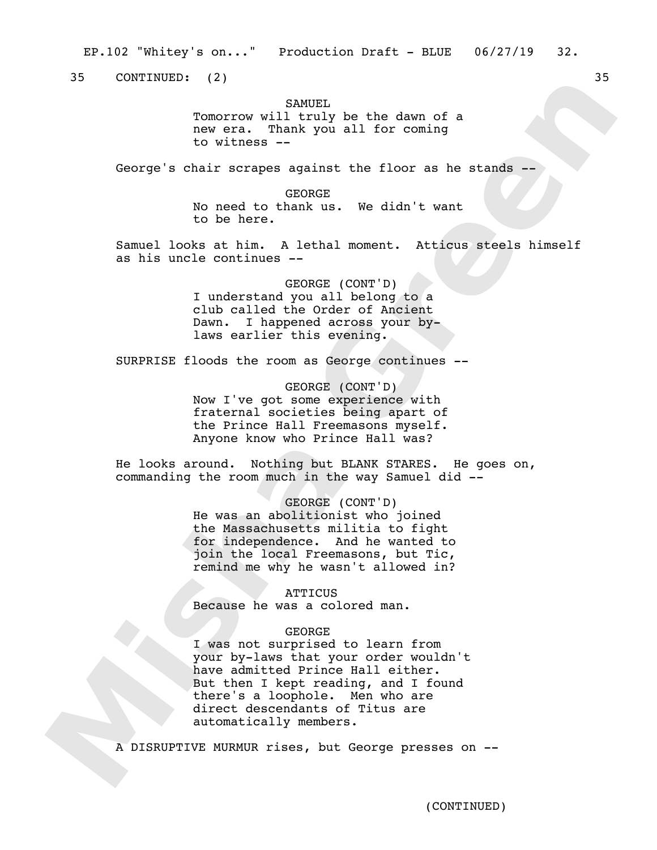35 CONTINUED: (2) 35

SAMUEL.

Tomorrow will truly be the dawn of a new era. Thank you all for coming to witness --

George's chair scrapes against the floor as he stands --

GEORGE

No need to thank us. We didn't want to be here.

Samuel looks at him. A lethal moment. Atticus steels himself as his uncle continues --

> GEORGE (CONT'D) I understand you all belong to a club called the Order of Ancient Dawn. I happened across your bylaws earlier this evening.

SURPRISE floods the room as George continues --

GEORGE (CONT'D) Now I've got some experience with fraternal societies being apart of the Prince Hall Freemasons myself. Anyone know who Prince Hall was?

He looks around. Nothing but BLANK STARES. He goes on, commanding the room much in the way Samuel did --

GEORGE (CONT'D)

He was an abolitionist who joined the Massachusetts militia to fight for independence. And he wanted to join the local Freemasons, but Tic, remind me why he wasn't allowed in?

**ATTICUS** Because he was a colored man.

## GEORGE

I was not surprised to learn from your by-laws that your order wouldn't have admitted Prince Hall either. But then I kept reading, and I found there's a loophole. Men who are direct descendants of Titus are automatically members.

A DISRUPTIVE MURMUR rises, but George presses on --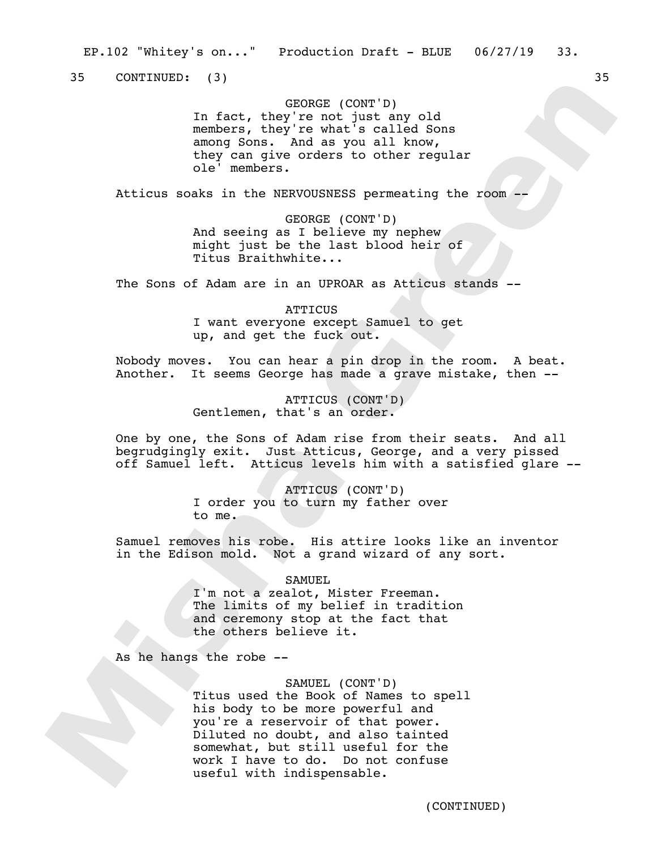35 CONTINUED: (3) 35

## GEORGE (CONT'D)

In fact, they're not just any old members, they're what's called Sons among Sons. And as you all know, they can give orders to other regular ole' members.

Atticus soaks in the NERVOUSNESS permeating the room --

GEORGE (CONT'D) And seeing as I believe my nephew might just be the last blood heir of Titus Braithwhite...

The Sons of Adam are in an UPROAR as Atticus stands --

ATTICUS I want everyone except Samuel to get up, and get the fuck out.

Nobody moves. You can hear a pin drop in the room. A beat. Another. It seems George has made a grave mistake, then --

> ATTICUS (CONT'D) Gentlemen, that's an order.

One by one, the Sons of Adam rise from their seats. And all begrudgingly exit. Just Atticus, George, and a very pissed off Samuel left. Atticus levels him with a satisfied glare --

> ATTICUS (CONT'D) I order you to turn my father over to me.

Samuel removes his robe. His attire looks like an inventor in the Edison mold. Not a grand wizard of any sort.

SAMUEL

I'm not a zealot, Mister Freeman. The limits of my belief in tradition and ceremony stop at the fact that the others believe it.

As he hangs the robe --

SAMUEL (CONT'D)

Titus used the Book of Names to spell his body to be more powerful and you're a reservoir of that power. Diluted no doubt, and also tainted somewhat, but still useful for the work I have to do. Do not confuse useful with indispensable.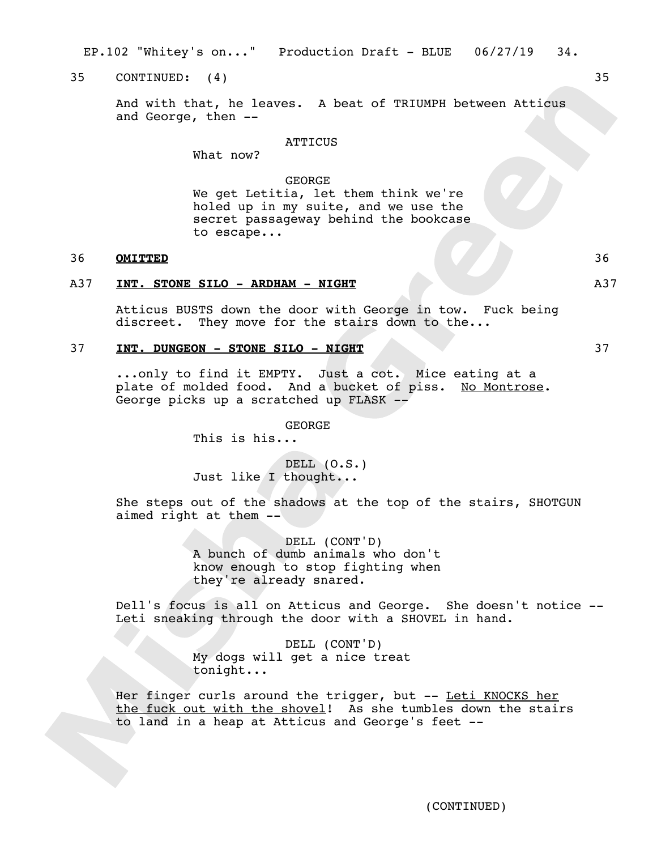EP.102 "Whitey's on..." Production Draft - BLUE 06/27/19 34.

## 35 CONTINUED: (4) 35

And with that, he leaves. A beat of TRIUMPH between Atticus and George, then --

## **ATTICUS**

What now?

#### GEORGE

We get Letitia, let them think we're holed up in my suite, and we use the secret passageway behind the bookcase to escape...

## 36 **OMITTED** 36

## A37 **INT. STONE SILO - ARDHAM - NIGHT** A37

Atticus BUSTS down the door with George in tow. Fuck being discreet. They move for the stairs down to the...

## 37 **INT. DUNGEON - STONE SILO - NIGHT** 37

...only to find it EMPTY. Just a cot. Mice eating at a plate of molded food. And a bucket of piss. No Montrose. George picks up a scratched up FLASK --

GEORGE

This is his...

DELL  $(0.S.)$ Just like I thought...

She steps out of the shadows at the top of the stairs, SHOTGUN aimed right at them --

> DELL (CONT'D) A bunch of dumb animals who don't know enough to stop fighting when they're already snared.

Dell's focus is all on Atticus and George. She doesn't notice -- Leti sneaking through the door with a SHOVEL in hand.

> DELL (CONT'D) My dogs will get a nice treat tonight...

Her finger curls around the trigger, but -- Leti KNOCKS her the fuck out with the shovel! As she tumbles down the stairs to land in a heap at Atticus and George's feet --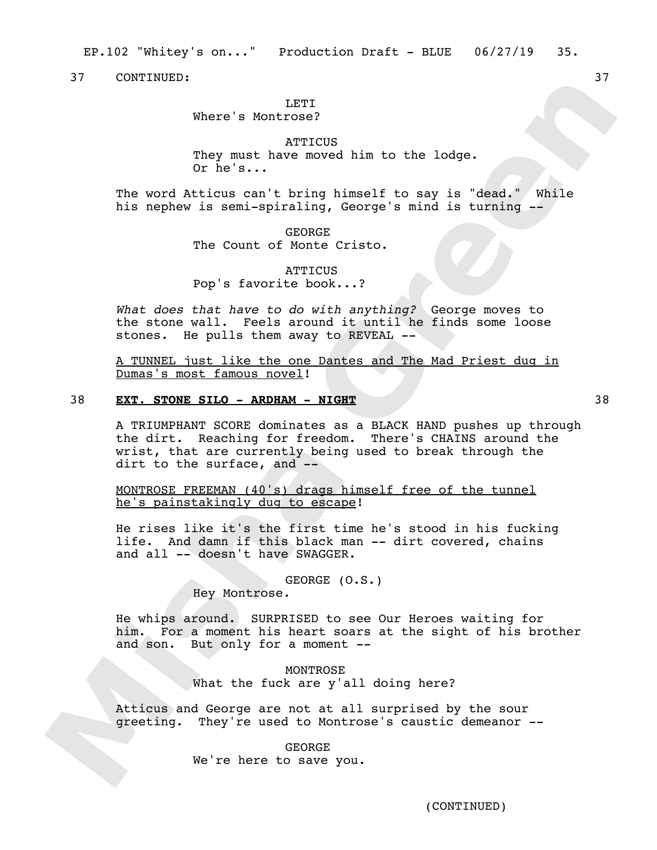#### **LETT**

Where's Montrose?

## **ATTICUS** They must have moved him to the lodge. Or he's...

The word Atticus can't bring himself to say is "dead." While his nephew is semi-spiraling, George's mind is turning --

> GEORGE The Count of Monte Cristo.

ATTICUS Pop's favorite book...?

*What does that have to do with anything?* George moves to the stone wall. Feels around it until he finds some loose stones. He pulls them away to REVEAL --

A TUNNEL just like the one Dantes and The Mad Priest dug in Dumas's most famous novel!

## 38 **EXT. STONE SILO - ARDHAM - NIGHT** 38

A TRIUMPHANT SCORE dominates as a BLACK HAND pushes up through the dirt. Reaching for freedom. There's CHAINS around the wrist, that are currently being used to break through the dirt to the surface, and --

MONTROSE FREEMAN (40's) drags himself free of the tunnel he's painstakingly dug to escape!

He rises like it's the first time he's stood in his fucking life. And damn if this black man -- dirt covered, chains and all -- doesn't have SWAGGER.

GEORGE (O.S.)

Hey Montrose.

He whips around. SURPRISED to see Our Heroes waiting for him. For a moment his heart soars at the sight of his brother and son. But only for a moment --

> MONTROSE What the fuck are y'all doing here?

Atticus and George are not at all surprised by the sour greeting. They're used to Montrose's caustic demeanor --

> GEORGE We're here to save you.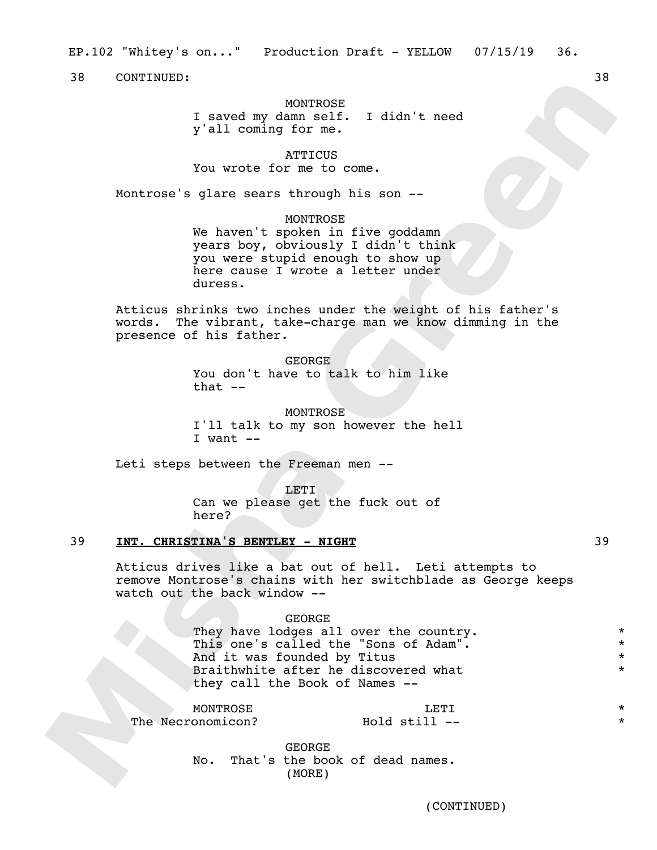#### MONTROSE

I saved my damn self. I didn't need y'all coming for me.

## **ATTICUS**

You wrote for me to come.

Montrose's glare sears through his son --

#### MONTROSE

We haven't spoken in five goddamn years boy, obviously I didn't think you were stupid enough to show up here cause I wrote a letter under duress.

Atticus shrinks two inches under the weight of his father's words. The vibrant, take-charge man we know dimming in the presence of his father.

> GEORGE You don't have to talk to him like that  $--$

#### MONTROSE

I'll talk to my son however the hell I want --

Leti steps between the Freeman men --

LETI

Can we please get the fuck out of here?

## 39 **INT. CHRISTINA'S BENTLEY - NIGHT** 39

Atticus drives like a bat out of hell. Leti attempts to remove Montrose's chains with her switchblade as George keeps watch out the back window --

#### GEORGE

They have lodges all over the country. This one's called the "Sons of Adam". And it was founded by Titus Braithwhite after he discovered what they call the Book of Names --

**MONTROSE** The Necronomicon?

LETI  $Hold$  still  $--$ 

GEORGE No. That's the book of dead names. (MORE)

\* \* \* \*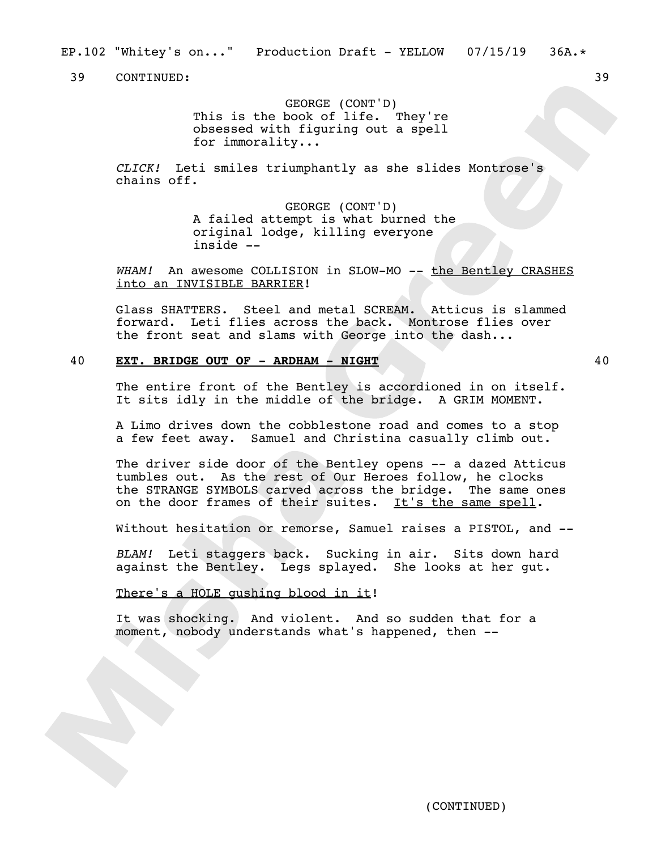EP.102 "Whitey's on..." Production Draft - YELLOW 07/15/19 36A.\*

39 CONTINUED: 39

GEORGE (CONT'D) This is the book of life. They're obsessed with figuring out a spell for immorality...

*CLICK!* Leti smiles triumphantly as she slides Montrose's chains off.

> GEORGE (CONT'D) A failed attempt is what burned the original lodge, killing everyone inside --

WHAM! An awesome COLLISION in SLOW-MO -- the Bentley CRASHES into an INVISIBLE BARRIER!

Glass SHATTERS. Steel and metal SCREAM. Atticus is slammed forward. Leti flies across the back. Montrose flies over the front seat and slams with George into the dash...

## 40 **EXT. BRIDGE OUT OF - ARDHAM - NIGHT** 40

The entire front of the Bentley is accordioned in on itself. It sits idly in the middle of the bridge. A GRIM MOMENT.

A Limo drives down the cobblestone road and comes to a stop a few feet away. Samuel and Christina casually climb out.

The driver side door of the Bentley opens -- a dazed Atticus tumbles out. As the rest of Our Heroes follow, he clocks the STRANGE SYMBOLS carved across the bridge. The same ones on the door frames of their suites. It's the same spell.

Without hesitation or remorse, Samuel raises a PISTOL, and --

*BLAM!* Leti staggers back. Sucking in air. Sits down hard against the Bentley. Legs splayed. She looks at her gut.

## There's a HOLE qushing blood in it!

It was shocking. And violent. And so sudden that for a moment, nobody understands what's happened, then --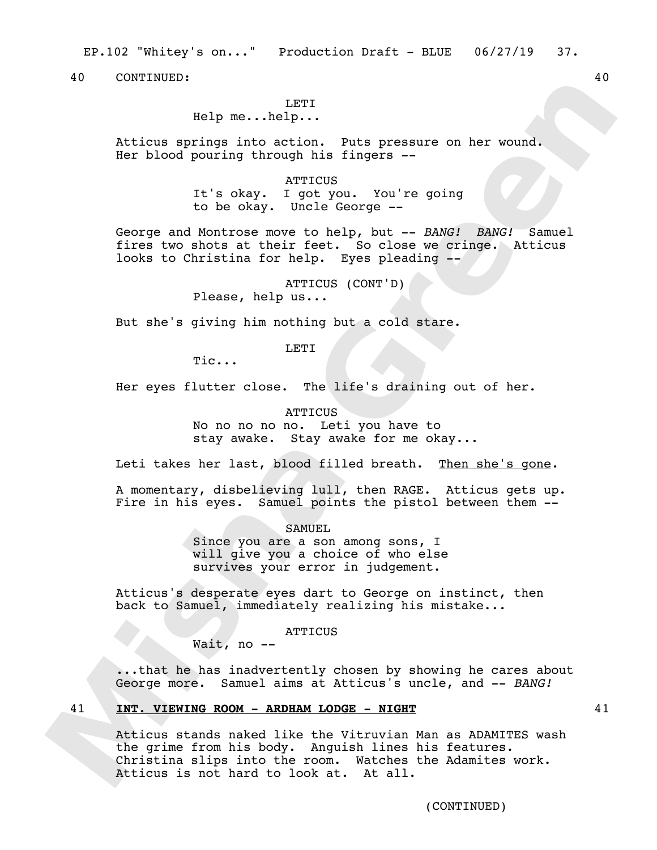EP.102 "Whitey's on..." Production Draft - BLUE 06/27/19 37.

40 CONTINUED: 40

## **LETT**

Help me...help...

Atticus springs into action. Puts pressure on her wound. Her blood pouring through his fingers --

> ATTICUS It's okay. I got you. You're going to be okay. Uncle George --

George and Montrose move to help, but -- *BANG! BANG!* Samuel fires two shots at their feet. So close we cringe. Atticus looks to Christina for help. Eyes pleading --

ATTICUS (CONT'D)

Please, help us...

But she's giving him nothing but a cold stare.

LETI

Tic...

Her eyes flutter close. The life's draining out of her.

## **ATTICUS**

No no no no no. Leti you have to stay awake. Stay awake for me okay...

Leti takes her last, blood filled breath. Then she's gone.

A momentary, disbelieving lull, then RAGE. Atticus gets up. Fire in his eyes. Samuel points the pistol between them  $-$ -

SAMUEL

Since you are a son among sons, I will give you a choice of who else survives your error in judgement.

Atticus's desperate eyes dart to George on instinct, then back to Samuel, immediately realizing his mistake...

ATTICUS

Wait, no --

...that he has inadvertently chosen by showing he cares about George more. Samuel aims at Atticus's uncle, and -- *BANG!*

## 41 **INT. VIEWING ROOM - ARDHAM LODGE - NIGHT** 41

Atticus stands naked like the Vitruvian Man as ADAMITES wash the grime from his body. Anguish lines his features. Christina slips into the room. Watches the Adamites work. Atticus is not hard to look at. At all.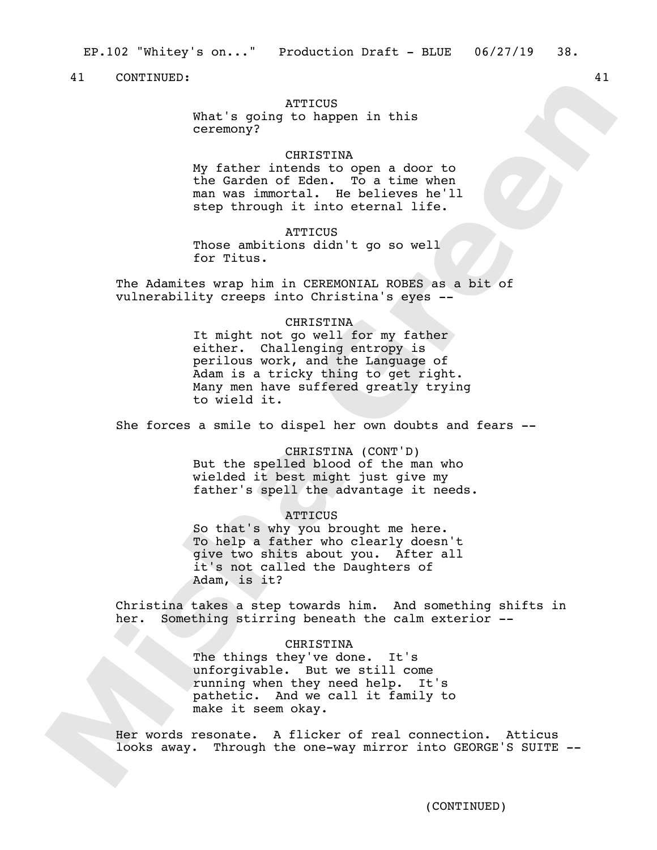## **ATTICUS**

What's going to happen in this ceremony?

#### CHRISTINA

My father intends to open a door to the Garden of Eden. To a time when man was immortal. He believes he'll step through it into eternal life.

## **ATTICUS**

Those ambitions didn't go so well for Titus.

The Adamites wrap him in CEREMONIAL ROBES as a bit of vulnerability creeps into Christina's eyes --

## CHRISTINA

It might not go well for my father either. Challenging entropy is perilous work, and the Language of Adam is a tricky thing to get right. Many men have suffered greatly trying to wield it.

She forces a smile to dispel her own doubts and fears --

CHRISTINA (CONT'D) But the spelled blood of the man who wielded it best might just give my father's spell the advantage it needs.

#### **ATTICUS**

So that's why you brought me here. To help a father who clearly doesn't give two shits about you. After all it's not called the Daughters of Adam, is it?

Christina takes a step towards him. And something shifts in her. Something stirring beneath the calm exterior --

#### CHRISTINA

The things they've done. It's unforgivable. But we still come running when they need help. It's pathetic. And we call it family to make it seem okay.

Her words resonate. A flicker of real connection. Atticus looks away. Through the one-way mirror into GEORGE'S SUITE --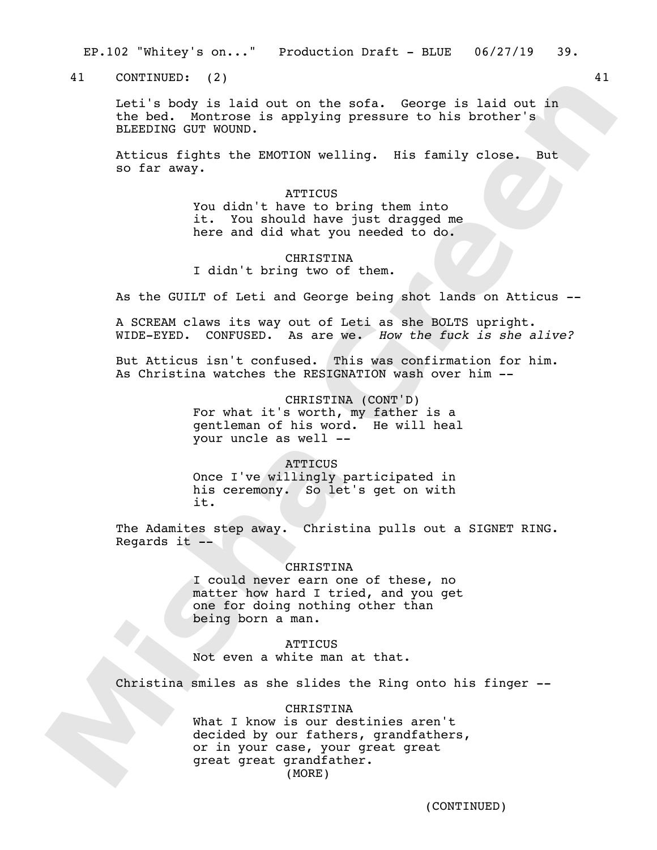EP.102 "Whitey's on..." Production Draft - BLUE 06/27/19 39.

41 CONTINUED: (2) 41

Leti's body is laid out on the sofa. George is laid out in the bed. Montrose is applying pressure to his brother's BLEEDING GUT WOUND.

Atticus fights the EMOTION welling. His family close. But so far away.

> **ATTICUS** You didn't have to bring them into it. You should have just dragged me here and did what you needed to do.

## CHRISTINA I didn't bring two of them.

As the GUILT of Leti and George being shot lands on Atticus --

A SCREAM claws its way out of Leti as she BOLTS upright. WIDE-EYED. CONFUSED. As are we. *How the fuck is she alive?*

But Atticus isn't confused. This was confirmation for him. As Christina watches the RESIGNATION wash over him --

> CHRISTINA (CONT'D) For what it's worth, my father is a gentleman of his word. He will heal your uncle as well --

> > **ATTICUS**

Once I've willingly participated in his ceremony. So let's get on with it.

The Adamites step away. Christina pulls out a SIGNET RING. Regards it  $-$ 

#### CHRISTINA

I could never earn one of these, no matter how hard I tried, and you get one for doing nothing other than being born a man.

## **ATTICUS**

Not even a white man at that.

Christina smiles as she slides the Ring onto his finger --

## CHRISTINA

What I know is our destinies aren't decided by our fathers, grandfathers, or in your case, your great great great great grandfather. (MORE)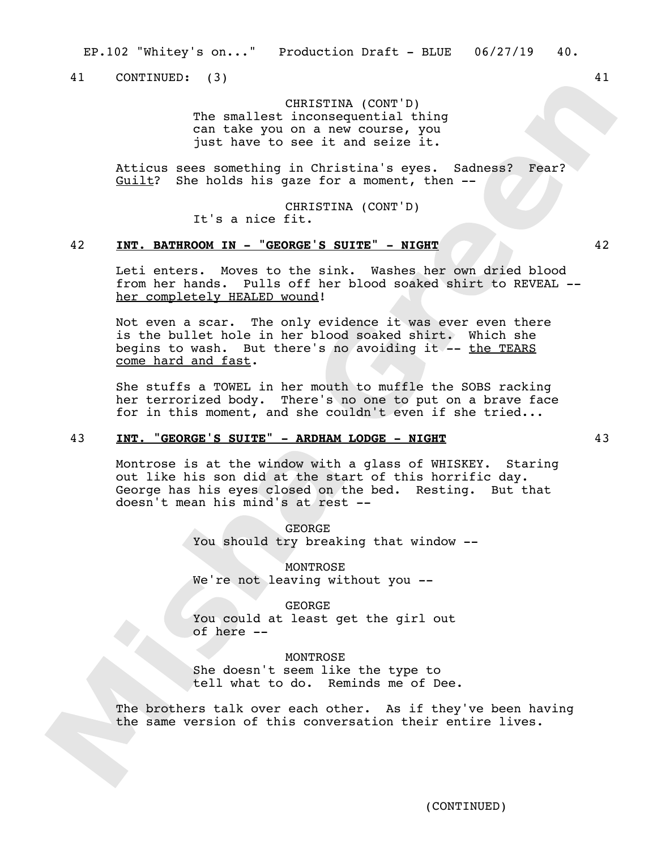41 CONTINUED: (3) 41

CHRISTINA (CONT'D) The smallest inconsequential thing can take you on a new course, you just have to see it and seize it.

Atticus sees something in Christina's eyes.Sadness? Fear? Guilt?She holds his gaze for a moment, then --

> CHRISTINA (CONT'D) It's a nice fit.

## 42 **INT. BATHROOM IN - "GEORGE'S SUITE" - NIGHT** 42

Leti enters. Moves to the sink. Washes her own dried blood from her hands. Pulls off her blood soaked shirt to REVEAL - her completely HEALED wound!

Not even a scar. The only evidence it was ever even there is the bullet hole in her blood soaked shirt. Which she begins to wash. But there's no avoiding it -- the TEARS come hard and fast.

She stuffs a TOWEL in her mouth to muffle the SOBS racking her terrorized body. There's no one to put on a brave face for in this moment, and she couldn't even if she tried...

## 43 **INT. "GEORGE'S SUITE" - ARDHAM LODGE - NIGHT** 43

Montrose is at the window with a glass of WHISKEY. Staring out like his son did at the start of this horrific day. George has his eyes closed on the bed. Resting. But that doesn't mean his mind's at rest --

> GEORGE You should try breaking that window --

MONTROSE We're not leaving without you --

GEORGE You could at least get the girl out of here --

MONTROSE She doesn't seem like the type to tell what to do. Reminds me of Dee.

The brothers talk over each other. As if they've been having the same version of this conversation their entire lives.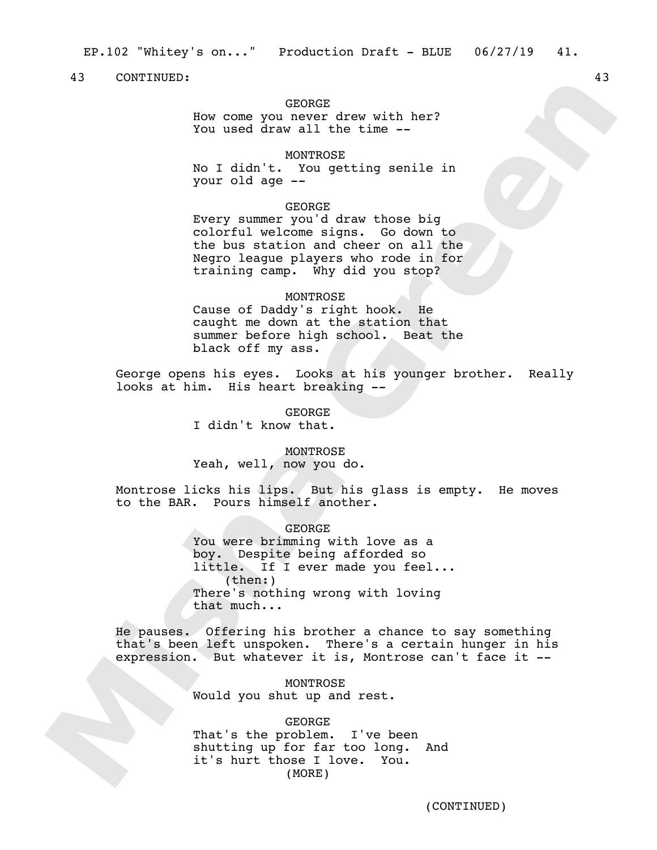## GEORGE

How come you never drew with her? You used draw all the time --

MONTROSE

No I didn't. You getting senile in your old age --

## GEORGE

Every summer you'd draw those big colorful welcome signs. Go down to the bus station and cheer on all the Negro league players who rode in for training camp. Why did you stop?

#### MONTROSE

Cause of Daddy's right hook. He caught me down at the station that summer before high school. Beat the black off my ass.

George opens his eyes. Looks at his younger brother. Really looks at him. His heart breaking --

> GEORGE I didn't know that.

### MONTROSE

Yeah, well, now you do.

Montrose licks his lips. But his glass is empty. He moves to the BAR. Pours himself another.

GEORGE

You were brimming with love as a boy. Despite being afforded so little. If I ever made you feel... (then:) There's nothing wrong with loving that much...

He pauses. Offering his brother a chance to say something that's been left unspoken. There's a certain hunger in his expression. But whatever it is, Montrose can't face it --

> MONTROSE Would you shut up and rest.

GEORGE That's the problem. I've been shutting up for far too long. And it's hurt those I love. You. (MORE)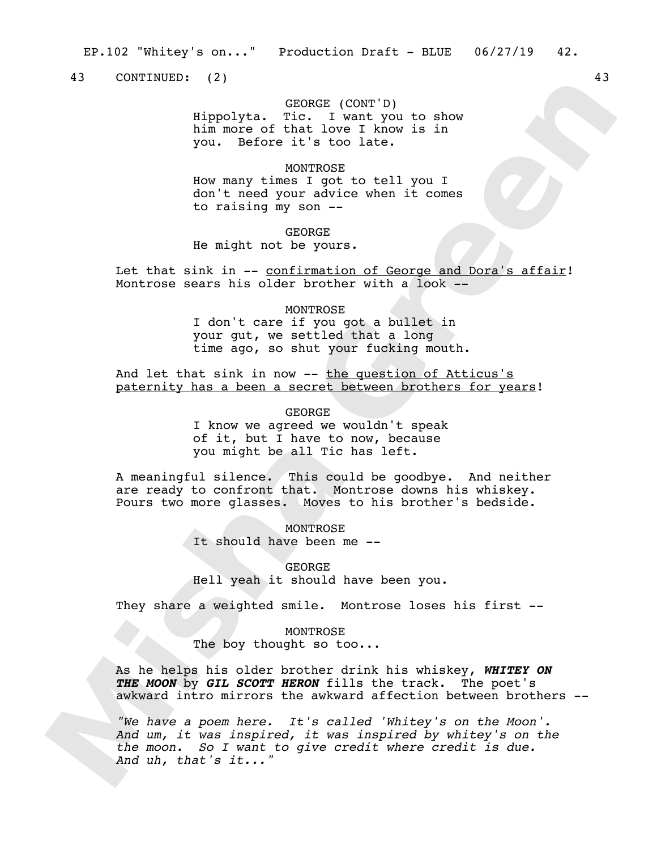43 CONTINUED: (2) 43

# GEORGE (CONT'D)

Hippolyta. Tic. I want you to show him more of that love I know is in you. Before it's too late.

## **MONTROSE**

How many times I got to tell you I don't need your advice when it comes to raising my son --

### GEORGE

He might not be yours.

Let that sink in -- confirmation of George and Dora's affair! Montrose sears his older brother with a look --

## **MONTROSE**

I don't care if you got a bullet in your gut, we settled that a long time ago, so shut your fucking mouth.

And let that sink in now -- the question of Atticus's paternity has a been a secret between brothers for years!

GEORGE

I know we agreed we wouldn't speak of it, but  $\overline{I}$  have to now, because you might be all Tic has left.

A meaningful silence. This could be goodbye. And neither are ready to confront that. Montrose downs his whiskey. Pours two more glasses. Moves to his brother's bedside.

> **MONTROSE** It should have been me --

GEORGE Hell yeah it should have been you.

They share a weighted smile. Montrose loses his first --

## MONTROSE

The boy thought so too...

As he helps his older brother drink his whiskey, *WHITEY ON THE MOON* by *GIL SCOTT HERON* fills the track. The poet's awkward intro mirrors the awkward affection between brothers --

*"We have a poem here. It's called 'Whitey's on the Moon'. And um, it was inspired, it was inspired by whitey's on the the moon. So I want to give credit where credit is due. And uh, that's it..."*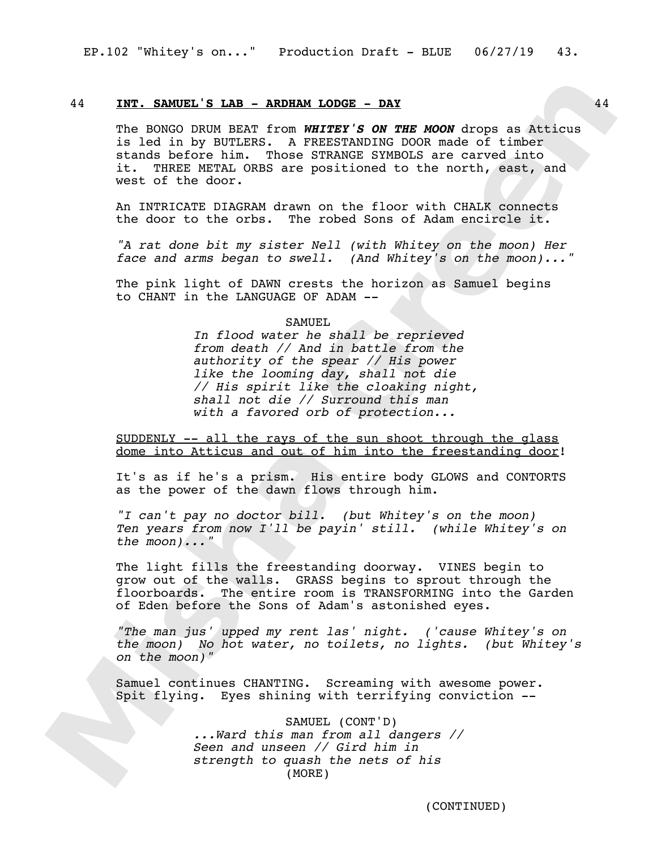## 44 **INT. SAMUEL'S LAB - ARDHAM LODGE - DAY** 44

The BONGO DRUM BEAT from *WHITEY'S ON THE MOON* drops as Atticus is led in by BUTLERS. A FREESTANDING DOOR made of timber stands before him. Those STRANGE SYMBOLS are carved into it. THREE METAL ORBS are positioned to the north, east, and west of the door.

An INTRICATE DIAGRAM drawn on the floor with CHALK connects the door to the orbs. The robed Sons of Adam encircle it.

*"A rat done bit my sister Nell (with Whitey on the moon) Her face and arms began to swell. (And Whitey's on the moon)..."*

The pink light of DAWN crests the horizon as Samuel begins to CHANT in the LANGUAGE OF ADAM --

#### SAMUEL

*In flood water he shall be reprieved from death // And in battle from the authority of the spear // His power like the looming day, shall not die // His spirit like the cloaking night, shall not die // Surround this man with a favored orb of protection...*

SUDDENLY -- all the rays of the sun shoot through the glass dome into Atticus and out of him into the freestanding door!

It's as if he's a prism. His entire body GLOWS and CONTORTS as the power of the dawn flows through him.

*"I can't pay no doctor bill. (but Whitey's on the moon) Ten years from now I'll be payin' still. (while Whitey's on the moon)..."*

The light fills the freestanding doorway. VINES begin to grow out of the walls. GRASS begins to sprout through the floorboards. The entire room is TRANSFORMING into the Garden of Eden before the Sons of Adam's astonished eyes.

*"The man jus' upped my rent las' night. ('cause Whitey's on the moon) No hot water, no toilets, no lights. (but Whitey's on the moon)"*

Samuel continues CHANTING. Screaming with awesome power. Spit flying. Eyes shining with terrifying conviction --

> SAMUEL (CONT'D) *...Ward this man from all dangers // Seen and unseen // Gird him in strength to quash the nets of his*  (MORE)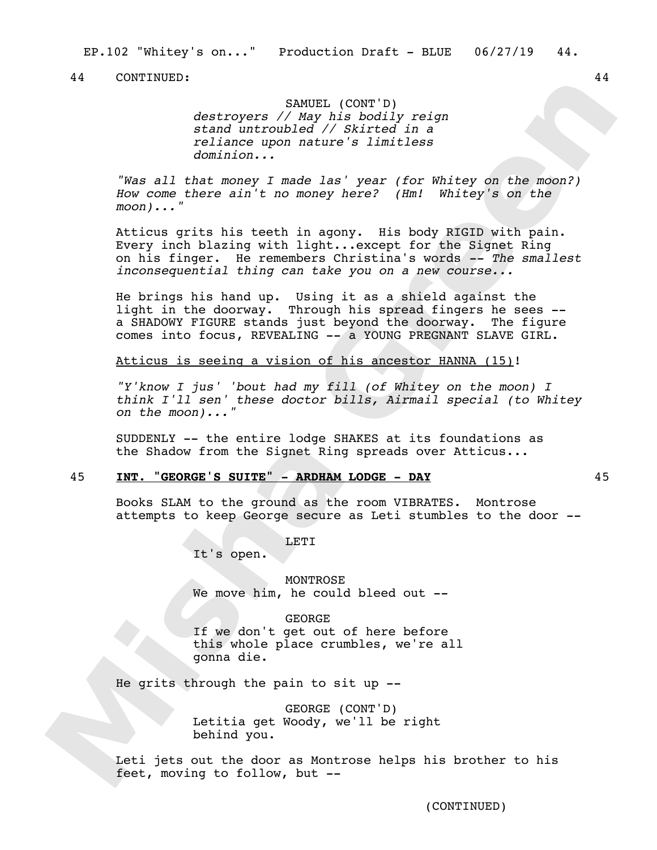SAMUEL (CONT'D) *destroyers // May his bodily reign stand untroubled // Skirted in a reliance upon nature's limitless dominion...*

*"Was all that money I made las' year (for Whitey on the moon?) How come there ain't no money here? (Hm! Whitey's on the moon)..."*

Atticus grits his teeth in agony. His body RIGID with pain. Every inch blazing with light...except for the Signet Ring on his finger. He remembers Christina's words *-- The smallest inconsequential thing can take you on a new course...*

He brings his hand up. Using it as a shield against the light in the doorway. Through his spread fingers he sees - a SHADOWY FIGURE stands just beyond the doorway. The figure comes into focus, REVEALING -- a YOUNG PREGNANT SLAVE GIRL.

Atticus is seeing a vision of his ancestor HANNA (15)!

*"Y'know I jus' 'bout had my fill (of Whitey on the moon) I think I'll sen' these doctor bills, Airmail special (to Whitey on the moon)..."*

SUDDENLY -- the entire lodge SHAKES at its foundations as the Shadow from the Signet Ring spreads over Atticus...

## 45 **INT. "GEORGE'S SUITE" - ARDHAM LODGE - DAY** 45

Books SLAM to the ground as the room VIBRATES. Montrose attempts to keep George secure as Leti stumbles to the door --

LETI

It's open.

MONTROSE We move him, he could bleed out --

GEORGE

If we don't get out of here before this whole place crumbles, we're all gonna die.

He grits through the pain to sit up --

GEORGE (CONT'D) Letitia get Woody, we'll be right behind you.

Leti jets out the door as Montrose helps his brother to his feet, moving to follow, but --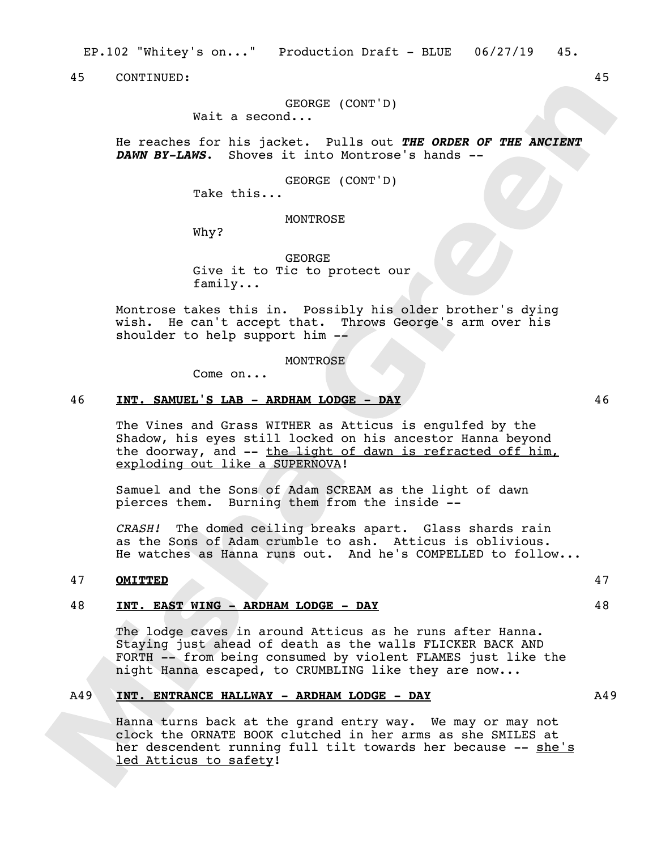EP.102 "Whitey's on..." Production Draft - BLUE 06/27/19 45.

45 CONTINUED: 45

## GEORGE (CONT'D)

Wait a second...

He reaches for his jacket. Pulls out *THE ORDER OF THE ANCIENT DAWN BY-LAWS*. Shoves it into Montrose's hands --

GEORGE (CONT'D)

Take this...

MONTROSE

Why?

GEORGE Give it to Tic to protect our family...

Montrose takes this in. Possibly his older brother's dying wish. He can't accept that. Throws George's arm over his shoulder to help support him --

## MONTROSE

Come on...

#### 46 **INT. SAMUEL'S LAB - ARDHAM LODGE - DAY** 46

The Vines and Grass WITHER as Atticus is engulfed by the Shadow, his eyes still locked on his ancestor Hanna beyond the doorway, and -- the light of dawn is refracted off him, exploding out like a SUPERNOVA!

Samuel and the Sons of Adam SCREAM as the light of dawn pierces them. Burning them from the inside --

*CRASH!* The domed ceiling breaks apart. Glass shards rain as the Sons of Adam crumble to ash. Atticus is oblivious. He watches as Hanna runs out. And he's COMPELLED to follow...

## 47 **OMITTED** 47

## 48 **INT. EAST WING - ARDHAM LODGE - DAY** 48

The lodge caves in around Atticus as he runs after Hanna. Staying just ahead of death as the walls FLICKER BACK AND FORTH -- from being consumed by violent FLAMES just like the night Hanna escaped, to CRUMBLING like they are now...

## A49 **INT. ENTRANCE HALLWAY - ARDHAM LODGE - DAY** A49

Hanna turns back at the grand entry way. We may or may not clock the ORNATE BOOK clutched in her arms as she SMILES at her descendent running full tilt towards her because -- she's led Atticus to safety!